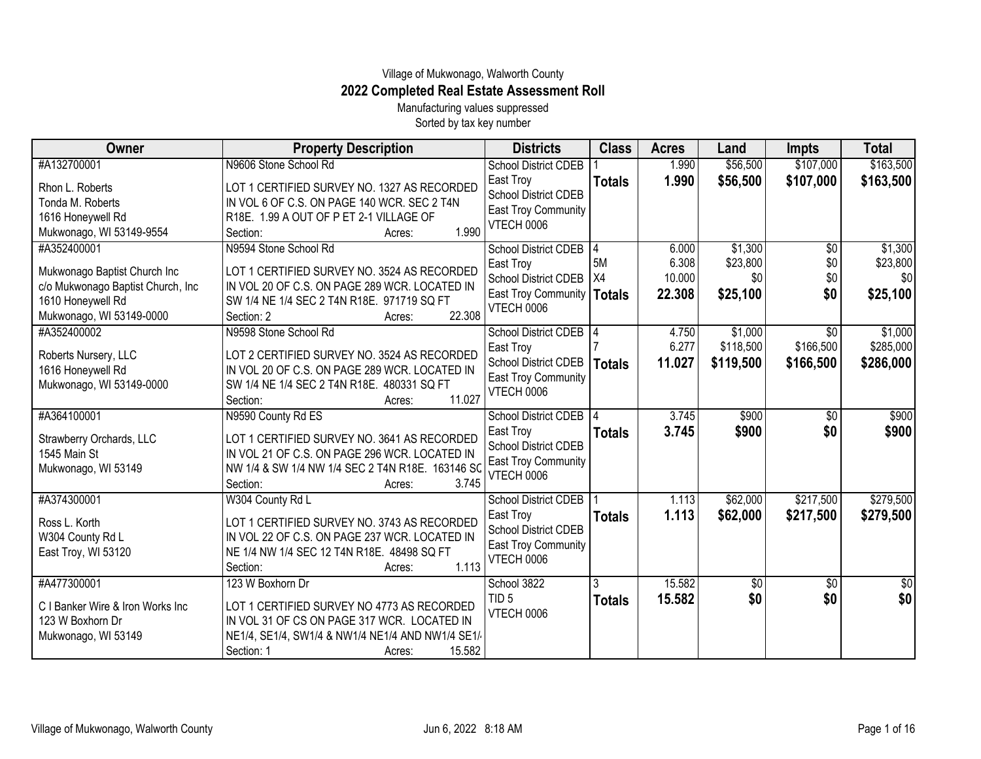## Village of Mukwonago, Walworth County **2022 Completed Real Estate Assessment Roll**

Manufacturing values suppressed Sorted by tax key number

| Owner                                                                                                                              | <b>Property Description</b>                                                                                                                                                                           | <b>Districts</b>                                                                                                           | <b>Class</b>       | <b>Acres</b>                       | Land                                   | <b>Impts</b>                              | <b>Total</b>                           |
|------------------------------------------------------------------------------------------------------------------------------------|-------------------------------------------------------------------------------------------------------------------------------------------------------------------------------------------------------|----------------------------------------------------------------------------------------------------------------------------|--------------------|------------------------------------|----------------------------------------|-------------------------------------------|----------------------------------------|
| #A132700001                                                                                                                        | N9606 Stone School Rd                                                                                                                                                                                 | <b>School District CDEB</b>                                                                                                |                    | 1.990                              | \$56,500                               | \$107,000                                 | \$163,500                              |
| Rhon L. Roberts<br>Tonda M. Roberts<br>1616 Honeywell Rd<br>Mukwonago, WI 53149-9554                                               | LOT 1 CERTIFIED SURVEY NO. 1327 AS RECORDED<br>IN VOL 6 OF C.S. ON PAGE 140 WCR. SEC 2 T4N<br>R18E. 1.99 A OUT OF P ET 2-1 VILLAGE OF<br>1.990<br>Section:<br>Acres:                                  | East Troy<br><b>School District CDEB</b><br><b>East Troy Community</b><br><b>VTECH 0006</b>                                | <b>Totals</b>      | 1.990                              | \$56,500                               | \$107,000                                 | \$163,500                              |
| #A352400001<br>Mukwonago Baptist Church Inc<br>c/o Mukwonago Baptist Church, Inc.<br>1610 Honeywell Rd<br>Mukwonago, WI 53149-0000 | N9594 Stone School Rd<br>LOT 1 CERTIFIED SURVEY NO. 3524 AS RECORDED<br>IN VOL 20 OF C.S. ON PAGE 289 WCR. LOCATED IN<br>SW 1/4 NE 1/4 SEC 2 T4N R18E. 971719 SQ FT<br>22.308<br>Section: 2<br>Acres: | <b>School District CDEB</b><br>East Troy<br><b>School District CDEB</b><br><b>East Troy Community</b><br>VTECH 0006        | 5M<br>X4<br>Totals | 6.000<br>6.308<br>10.000<br>22.308 | \$1,300<br>\$23,800<br>\$0<br>\$25,100 | $\overline{50}$<br>\$0\$<br>\$0<br>\$0    | \$1,300<br>\$23,800<br>\$0<br>\$25,100 |
| #A352400002<br>Roberts Nursery, LLC<br>1616 Honeywell Rd<br>Mukwonago, WI 53149-0000                                               | N9598 Stone School Rd<br>LOT 2 CERTIFIED SURVEY NO. 3524 AS RECORDED<br>IN VOL 20 OF C.S. ON PAGE 289 WCR. LOCATED IN<br>SW 1/4 NE 1/4 SEC 2 T4N R18E. 480331 SQ FT<br>11.027<br>Section:<br>Acres:   | <b>School District CDEB</b><br>East Troy<br>School District CDEB<br><b>East Troy Community</b><br>VTECH 0006               | <b>Totals</b>      | 4.750<br>6.277<br>11.027           | \$1,000<br>\$118,500<br>\$119,500      | $\overline{50}$<br>\$166,500<br>\$166,500 | \$1,000<br>\$285,000<br>\$286,000      |
| #A364100001<br>Strawberry Orchards, LLC<br>1545 Main St<br>Mukwonago, WI 53149                                                     | N9590 County Rd ES<br>LOT 1 CERTIFIED SURVEY NO. 3641 AS RECORDED<br>IN VOL 21 OF C.S. ON PAGE 296 WCR. LOCATED IN<br>NW 1/4 & SW 1/4 NW 1/4 SEC 2 T4N R18E. 163146 SC<br>3.745<br>Section:<br>Acres: | <b>School District CDEB</b><br>East Troy<br><b>School District CDEB</b><br><b>East Troy Community</b><br><b>VTECH 0006</b> | <b>Totals</b>      | 3.745<br>3.745                     | \$900<br>\$900                         | $\sqrt{6}$<br>\$0                         | \$900<br>\$900                         |
| #A374300001<br>Ross L. Korth<br>W304 County Rd L<br>East Troy, WI 53120                                                            | W304 County Rd L<br>LOT 1 CERTIFIED SURVEY NO. 3743 AS RECORDED<br>IN VOL 22 OF C.S. ON PAGE 237 WCR. LOCATED IN<br>NE 1/4 NW 1/4 SEC 12 T4N R18E. 48498 SQ FT<br>1.113<br>Section:<br>Acres:         | <b>School District CDEB</b><br>East Troy<br>School District CDEB<br><b>East Troy Community</b><br>VTECH 0006               | <b>Totals</b>      | 1.113<br>1.113                     | \$62,000<br>\$62,000                   | \$217,500<br>\$217,500                    | \$279,500<br>\$279,500                 |
| #A477300001<br>C I Banker Wire & Iron Works Inc<br>123 W Boxhorn Dr<br>Mukwonago, WI 53149                                         | 123 W Boxhorn Dr<br>LOT 1 CERTIFIED SURVEY NO 4773 AS RECORDED<br>IN VOL 31 OF CS ON PAGE 317 WCR. LOCATED IN<br>NE1/4, SE1/4, SW1/4 & NW1/4 NE1/4 AND NW1/4 SE1/<br>15.582<br>Section: 1<br>Acres:   | School 3822<br>TID <sub>5</sub><br>VTECH 0006                                                                              | 3<br><b>Totals</b> | 15.582<br>15.582                   | \$0<br>\$0                             | \$0<br>\$0                                | $\sqrt{30}$<br>\$0                     |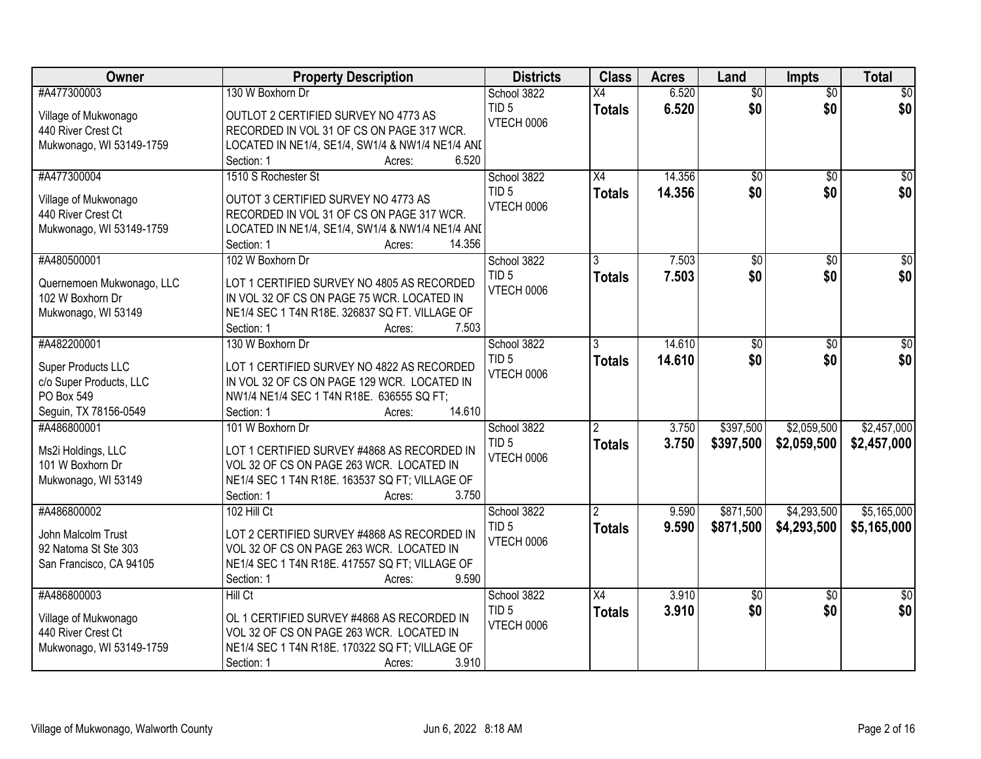| Owner                     | <b>Property Description</b>                      | <b>Districts</b>  | <b>Class</b>    | <b>Acres</b> | Land            | <b>Impts</b>    | <b>Total</b>     |
|---------------------------|--------------------------------------------------|-------------------|-----------------|--------------|-----------------|-----------------|------------------|
| #A477300003               | 130 W Boxhorn Dr                                 | School 3822       | $\overline{X4}$ | 6.520        | $\overline{50}$ | $\overline{50}$ | $\sqrt{50}$      |
| Village of Mukwonago      | OUTLOT 2 CERTIFIED SURVEY NO 4773 AS             | TID <sub>5</sub>  | <b>Totals</b>   | 6.520        | \$0             | \$0             | \$0              |
| 440 River Crest Ct        | RECORDED IN VOL 31 OF CS ON PAGE 317 WCR.        | VTECH 0006        |                 |              |                 |                 |                  |
| Mukwonago, WI 53149-1759  | LOCATED IN NE1/4, SE1/4, SW1/4 & NW1/4 NE1/4 ANI |                   |                 |              |                 |                 |                  |
|                           | 6.520<br>Section: 1<br>Acres:                    |                   |                 |              |                 |                 |                  |
| #A477300004               | 1510 S Rochester St                              | School 3822       | $\overline{X4}$ | 14.356       | $\overline{50}$ | $\overline{50}$ | $\sqrt{50}$      |
|                           |                                                  | TID <sub>5</sub>  | <b>Totals</b>   | 14.356       | \$0             | \$0             | \$0              |
| Village of Mukwonago      | OUTOT 3 CERTIFIED SURVEY NO 4773 AS              | VTECH 0006        |                 |              |                 |                 |                  |
| 440 River Crest Ct        | RECORDED IN VOL 31 OF CS ON PAGE 317 WCR.        |                   |                 |              |                 |                 |                  |
| Mukwonago, WI 53149-1759  | LOCATED IN NE1/4, SE1/4, SW1/4 & NW1/4 NE1/4 ANI |                   |                 |              |                 |                 |                  |
|                           | 14.356<br>Section: 1<br>Acres:                   |                   |                 |              |                 |                 |                  |
| #A480500001               | 102 W Boxhorn Dr                                 | School 3822       |                 | 7.503        | $\overline{50}$ | $\overline{50}$ | $\overline{\$0}$ |
| Quernemoen Mukwonago, LLC | LOT 1 CERTIFIED SURVEY NO 4805 AS RECORDED       | TID <sub>5</sub>  | <b>Totals</b>   | 7.503        | \$0             | \$0             | \$0              |
| 102 W Boxhorn Dr          | IN VOL 32 OF CS ON PAGE 75 WCR. LOCATED IN       | VTECH 0006        |                 |              |                 |                 |                  |
| Mukwonago, WI 53149       | NE1/4 SEC 1 T4N R18E. 326837 SQ FT. VILLAGE OF   |                   |                 |              |                 |                 |                  |
|                           | 7.503<br>Section: 1<br>Acres:                    |                   |                 |              |                 |                 |                  |
| #A482200001               | 130 W Boxhorn Dr                                 | School 3822       | 3               | 14.610       | \$0             | \$0             | \$0              |
|                           |                                                  | TID <sub>5</sub>  | <b>Totals</b>   | 14.610       | \$0             | \$0             | \$0              |
| Super Products LLC        | LOT 1 CERTIFIED SURVEY NO 4822 AS RECORDED       | <b>VTECH 0006</b> |                 |              |                 |                 |                  |
| c/o Super Products, LLC   | IN VOL 32 OF CS ON PAGE 129 WCR. LOCATED IN      |                   |                 |              |                 |                 |                  |
| PO Box 549                | NW1/4 NE1/4 SEC 1 T4N R18E. 636555 SQ FT;        |                   |                 |              |                 |                 |                  |
| Seguin, TX 78156-0549     | 14.610<br>Section: 1<br>Acres:                   |                   |                 |              |                 |                 |                  |
| #A486800001               | 101 W Boxhorn Dr                                 | School 3822       | $\overline{2}$  | 3.750        | \$397,500       | \$2,059,500     | \$2,457,000      |
| Ms2i Holdings, LLC        | LOT 1 CERTIFIED SURVEY #4868 AS RECORDED IN      | TID <sub>5</sub>  | <b>Totals</b>   | 3.750        | \$397,500       | \$2,059,500     | \$2,457,000      |
| 101 W Boxhorn Dr          | VOL 32 OF CS ON PAGE 263 WCR. LOCATED IN         | VTECH 0006        |                 |              |                 |                 |                  |
| Mukwonago, WI 53149       | NE1/4 SEC 1 T4N R18E. 163537 SQ FT; VILLAGE OF   |                   |                 |              |                 |                 |                  |
|                           | 3.750<br>Section: 1<br>Acres:                    |                   |                 |              |                 |                 |                  |
| #A486800002               | 102 Hill Ct                                      | School 3822       |                 | 9.590        | \$871,500       | \$4,293,500     | \$5,165,000      |
|                           |                                                  | TID <sub>5</sub>  | <b>Totals</b>   | 9.590        | \$871,500       | \$4,293,500     | \$5,165,000      |
| John Malcolm Trust        | LOT 2 CERTIFIED SURVEY #4868 AS RECORDED IN      | VTECH 0006        |                 |              |                 |                 |                  |
| 92 Natoma St Ste 303      | VOL 32 OF CS ON PAGE 263 WCR. LOCATED IN         |                   |                 |              |                 |                 |                  |
| San Francisco, CA 94105   | NE1/4 SEC 1 T4N R18E. 417557 SQ FT; VILLAGE OF   |                   |                 |              |                 |                 |                  |
|                           | 9.590<br>Section: 1<br>Acres:                    |                   |                 |              |                 |                 |                  |
| #A486800003               | Hill Ct                                          | School 3822       | X4              | 3.910        | $\overline{50}$ | $\overline{30}$ | $\overline{50}$  |
| Village of Mukwonago      | OL 1 CERTIFIED SURVEY #4868 AS RECORDED IN       | TID <sub>5</sub>  | <b>Totals</b>   | 3.910        | \$0             | \$0             | \$0              |
| 440 River Crest Ct        | VOL 32 OF CS ON PAGE 263 WCR. LOCATED IN         | VTECH 0006        |                 |              |                 |                 |                  |
| Mukwonago, WI 53149-1759  | NE1/4 SEC 1 T4N R18E. 170322 SQ FT; VILLAGE OF   |                   |                 |              |                 |                 |                  |
|                           | 3.910<br>Section: 1<br>Acres:                    |                   |                 |              |                 |                 |                  |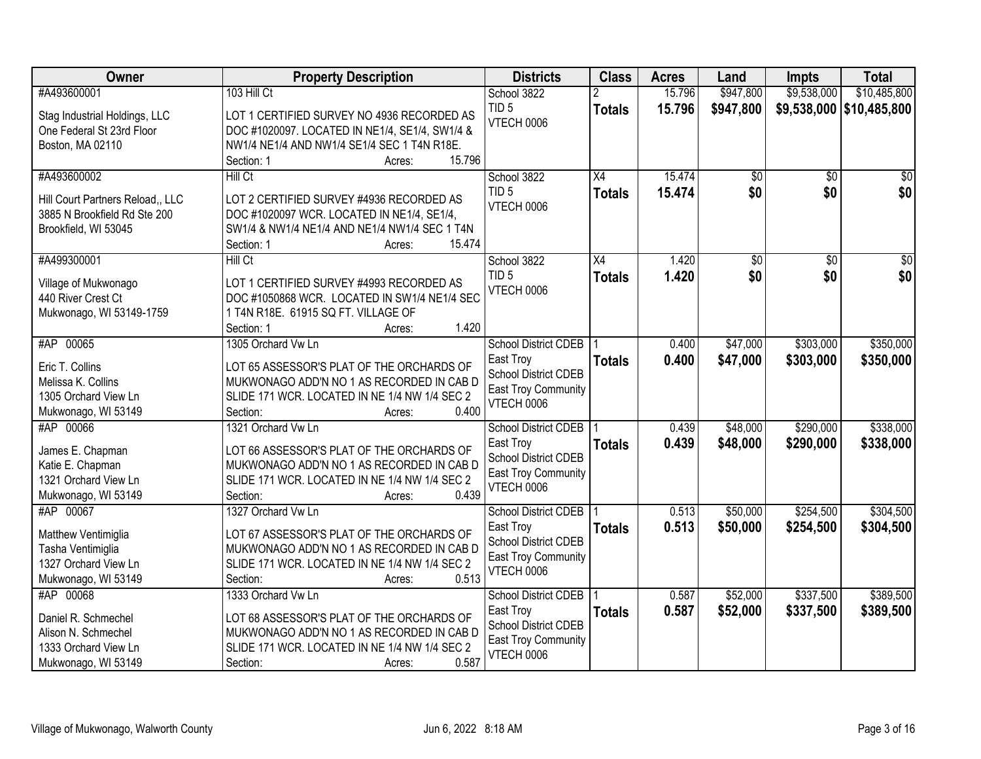| Owner                                                                                                   | <b>Property Description</b>                                                                                                                                                                  | <b>Districts</b>                                                                                                    | <b>Class</b>                     | <b>Acres</b>     | Land                 | Impts                  | <b>Total</b>               |
|---------------------------------------------------------------------------------------------------------|----------------------------------------------------------------------------------------------------------------------------------------------------------------------------------------------|---------------------------------------------------------------------------------------------------------------------|----------------------------------|------------------|----------------------|------------------------|----------------------------|
| #A493600001                                                                                             | 103 Hill Ct                                                                                                                                                                                  | School 3822                                                                                                         |                                  | 15.796           | \$947,800            | \$9,538,000            | \$10,485,800               |
| Stag Industrial Holdings, LLC<br>One Federal St 23rd Floor<br>Boston, MA 02110                          | LOT 1 CERTIFIED SURVEY NO 4936 RECORDED AS<br>DOC #1020097. LOCATED IN NE1/4, SE1/4, SW1/4 &<br>NW1/4 NE1/4 AND NW1/4 SE1/4 SEC 1 T4N R18E.<br>15.796<br>Section: 1<br>Acres:                | TID <sub>5</sub><br>VTECH 0006                                                                                      | <b>Totals</b>                    | 15.796           | \$947,800            |                        | \$9,538,000   \$10,485,800 |
| #A493600002<br>Hill Court Partners Reload,, LLC<br>3885 N Brookfield Rd Ste 200<br>Brookfield, WI 53045 | Hill Ct<br>LOT 2 CERTIFIED SURVEY #4936 RECORDED AS<br>DOC #1020097 WCR. LOCATED IN NE1/4, SE1/4,<br>SW1/4 & NW1/4 NE1/4 AND NE1/4 NW1/4 SEC 1 T4N<br>Section: 1<br>15.474<br>Acres:         | School 3822<br>TID <sub>5</sub><br>VTECH 0006                                                                       | $\overline{X4}$<br><b>Totals</b> | 15.474<br>15.474 | \$0<br>\$0           | $\overline{50}$<br>\$0 | $\overline{50}$<br>\$0     |
| #A499300001                                                                                             | Hill Ct                                                                                                                                                                                      | School 3822                                                                                                         | $\overline{X4}$                  | 1.420            | $\overline{50}$      | $\overline{50}$        | $\overline{50}$            |
| Village of Mukwonago<br>440 River Crest Ct<br>Mukwonago, WI 53149-1759                                  | LOT 1 CERTIFIED SURVEY #4993 RECORDED AS<br>DOC #1050868 WCR. LOCATED IN SW1/4 NE1/4 SEC<br>1 T4N R18E. 61915 SQ FT. VILLAGE OF<br>1.420<br>Section: 1<br>Acres:                             | TID <sub>5</sub><br>VTECH 0006                                                                                      | <b>Totals</b>                    | 1.420            | \$0                  | \$0                    | \$0                        |
| #AP 00065                                                                                               | 1305 Orchard Vw Ln                                                                                                                                                                           | <b>School District CDEB</b>                                                                                         |                                  | 0.400            | \$47,000             | \$303,000              | \$350,000                  |
| Eric T. Collins<br>Melissa K. Collins<br>1305 Orchard View Ln<br>Mukwonago, WI 53149                    | LOT 65 ASSESSOR'S PLAT OF THE ORCHARDS OF<br>MUKWONAGO ADD'N NO 1 AS RECORDED IN CAB D<br>SLIDE 171 WCR. LOCATED IN NE 1/4 NW 1/4 SEC 2<br>0.400<br>Section:<br>Acres:                       | East Troy<br><b>School District CDEB</b><br>East Troy Community<br><b>VTECH 0006</b>                                | <b>Totals</b>                    | 0.400            | \$47,000             | \$303,000              | \$350,000                  |
| #AP 00066<br>James E. Chapman<br>Katie E. Chapman<br>1321 Orchard View Ln<br>Mukwonago, WI 53149        | 1321 Orchard Vw Ln<br>LOT 66 ASSESSOR'S PLAT OF THE ORCHARDS OF<br>MUKWONAGO ADD'N NO 1 AS RECORDED IN CAB D<br>SLIDE 171 WCR. LOCATED IN NE 1/4 NW 1/4 SEC 2<br>0.439<br>Section:<br>Acres: | <b>School District CDEB</b><br>East Troy<br>School District CDEB<br><b>East Troy Community</b><br>VTECH 0006        | <b>Totals</b>                    | 0.439<br>0.439   | \$48,000<br>\$48,000 | \$290,000<br>\$290,000 | \$338,000<br>\$338,000     |
| #AP 00067<br>Matthew Ventimiglia<br>Tasha Ventimiglia<br>1327 Orchard View Ln<br>Mukwonago, WI 53149    | 1327 Orchard Vw Ln<br>LOT 67 ASSESSOR'S PLAT OF THE ORCHARDS OF<br>MUKWONAGO ADD'N NO 1 AS RECORDED IN CAB D<br>SLIDE 171 WCR. LOCATED IN NE 1/4 NW 1/4 SEC 2<br>0.513<br>Section:<br>Acres: | <b>School District CDEB</b><br>East Troy<br><b>School District CDEB</b><br><b>East Troy Community</b><br>VTECH 0006 | <b>Totals</b>                    | 0.513<br>0.513   | \$50,000<br>\$50,000 | \$254,500<br>\$254,500 | \$304,500<br>\$304,500     |
| #AP 00068<br>Daniel R. Schmechel<br>Alison N. Schmechel<br>1333 Orchard View Ln<br>Mukwonago, WI 53149  | 1333 Orchard Vw Ln<br>LOT 68 ASSESSOR'S PLAT OF THE ORCHARDS OF<br>MUKWONAGO ADD'N NO 1 AS RECORDED IN CAB D<br>SLIDE 171 WCR. LOCATED IN NE 1/4 NW 1/4 SEC 2<br>0.587<br>Section:<br>Acres: | <b>School District CDEB</b><br>East Troy<br><b>School District CDEB</b><br><b>East Troy Community</b><br>VTECH 0006 | <b>Totals</b>                    | 0.587<br>0.587   | \$52,000<br>\$52,000 | \$337,500<br>\$337,500 | \$389,500<br>\$389,500     |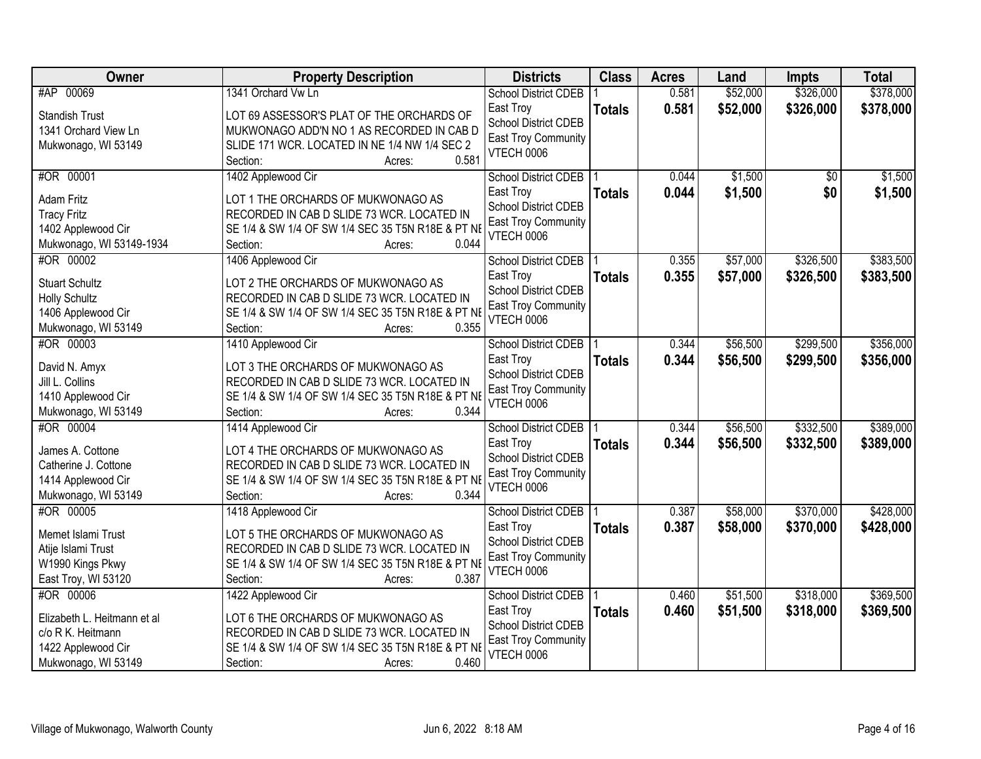| Owner                            | <b>Property Description</b>                       | <b>Districts</b>                         | <b>Class</b>  | <b>Acres</b> | Land     | <b>Impts</b> | <b>Total</b> |
|----------------------------------|---------------------------------------------------|------------------------------------------|---------------|--------------|----------|--------------|--------------|
| #AP 00069                        | 1341 Orchard Vw Ln                                | <b>School District CDEB</b>              |               | 0.581        | \$52,000 | \$326,000    | \$378,000    |
| <b>Standish Trust</b>            | LOT 69 ASSESSOR'S PLAT OF THE ORCHARDS OF         | East Troy                                | <b>Totals</b> | 0.581        | \$52,000 | \$326,000    | \$378,000    |
| 1341 Orchard View Ln             | MUKWONAGO ADD'N NO 1 AS RECORDED IN CAB D         | School District CDEB                     |               |              |          |              |              |
| Mukwonago, WI 53149              | SLIDE 171 WCR. LOCATED IN NE 1/4 NW 1/4 SEC 2     | <b>East Troy Community</b>               |               |              |          |              |              |
|                                  | 0.581<br>Section:<br>Acres:                       | <b>VTECH 0006</b>                        |               |              |          |              |              |
| #OR 00001                        | 1402 Applewood Cir                                | <b>School District CDEB</b>              |               | 0.044        | \$1,500  | \$0          | \$1,500      |
| <b>Adam Fritz</b>                | LOT 1 THE ORCHARDS OF MUKWONAGO AS                | East Troy                                | <b>Totals</b> | 0.044        | \$1,500  | \$0          | \$1,500      |
| <b>Tracy Fritz</b>               | RECORDED IN CAB D SLIDE 73 WCR. LOCATED IN        | <b>School District CDEB</b>              |               |              |          |              |              |
| 1402 Applewood Cir               | SE 1/4 & SW 1/4 OF SW 1/4 SEC 35 T5N R18E & PT NE | <b>East Troy Community</b>               |               |              |          |              |              |
| Mukwonago, WI 53149-1934         | 0.044<br>Section:<br>Acres:                       | <b>VTECH 0006</b>                        |               |              |          |              |              |
| #OR 00002                        | 1406 Applewood Cir                                | <b>School District CDEB</b>              |               | 0.355        | \$57,000 | \$326,500    | \$383,500    |
| <b>Stuart Schultz</b>            | LOT 2 THE ORCHARDS OF MUKWONAGO AS                | East Troy                                | <b>Totals</b> | 0.355        | \$57,000 | \$326,500    | \$383,500    |
| <b>Holly Schultz</b>             | RECORDED IN CAB D SLIDE 73 WCR. LOCATED IN        | School District CDEB                     |               |              |          |              |              |
| 1406 Applewood Cir               | SE 1/4 & SW 1/4 OF SW 1/4 SEC 35 T5N R18E & PT NE | <b>East Troy Community</b>               |               |              |          |              |              |
|                                  | 0.355<br>Section:                                 | <b>VTECH 0006</b>                        |               |              |          |              |              |
| Mukwonago, WI 53149<br>#OR 00003 | Acres:<br>1410 Applewood Cir                      |                                          |               | 0.344        | \$56,500 | \$299,500    | \$356,000    |
|                                  |                                                   | <b>School District CDEB</b>              |               |              |          |              |              |
| David N. Amyx                    | LOT 3 THE ORCHARDS OF MUKWONAGO AS                | East Troy<br><b>School District CDEB</b> | <b>Totals</b> | 0.344        | \$56,500 | \$299,500    | \$356,000    |
| Jill L. Collins                  | RECORDED IN CAB D SLIDE 73 WCR. LOCATED IN        | <b>East Troy Community</b>               |               |              |          |              |              |
| 1410 Applewood Cir               | SE 1/4 & SW 1/4 OF SW 1/4 SEC 35 T5N R18E & PT NE | <b>VTECH 0006</b>                        |               |              |          |              |              |
| Mukwonago, WI 53149              | 0.344<br>Section:<br>Acres:                       |                                          |               |              |          |              |              |
| #OR 00004                        | 1414 Applewood Cir                                | <b>School District CDEB</b>              |               | 0.344        | \$56,500 | \$332,500    | \$389,000    |
| James A. Cottone                 | LOT 4 THE ORCHARDS OF MUKWONAGO AS                | East Troy                                | <b>Totals</b> | 0.344        | \$56,500 | \$332,500    | \$389,000    |
| Catherine J. Cottone             | RECORDED IN CAB D SLIDE 73 WCR. LOCATED IN        | School District CDEB                     |               |              |          |              |              |
| 1414 Applewood Cir               | SE 1/4 & SW 1/4 OF SW 1/4 SEC 35 T5N R18E & PT NE | East Troy Community                      |               |              |          |              |              |
| Mukwonago, WI 53149              | 0.344<br>Section:<br>Acres:                       | VTECH 0006                               |               |              |          |              |              |
| #OR 00005                        | 1418 Applewood Cir                                | School District CDEB                     |               | 0.387        | \$58,000 | \$370,000    | \$428,000    |
|                                  |                                                   | East Troy                                | <b>Totals</b> | 0.387        | \$58,000 | \$370,000    | \$428,000    |
| Memet Islami Trust               | LOT 5 THE ORCHARDS OF MUKWONAGO AS                | School District CDEB                     |               |              |          |              |              |
| Atije Islami Trust               | RECORDED IN CAB D SLIDE 73 WCR. LOCATED IN        | <b>East Troy Community</b>               |               |              |          |              |              |
| W1990 Kings Pkwy                 | SE 1/4 & SW 1/4 OF SW 1/4 SEC 35 T5N R18E & PT NE | <b>VTECH 0006</b>                        |               |              |          |              |              |
| East Troy, WI 53120              | 0.387<br>Section:<br>Acres:                       |                                          |               |              |          |              |              |
| #OR 00006                        | 1422 Applewood Cir                                | <b>School District CDEB</b>              |               | 0.460        | \$51,500 | \$318,000    | \$369,500    |
| Elizabeth L. Heitmann et al      | LOT 6 THE ORCHARDS OF MUKWONAGO AS                | East Troy                                | <b>Totals</b> | 0.460        | \$51,500 | \$318,000    | \$369,500    |
| c/o R K. Heitmann                | RECORDED IN CAB D SLIDE 73 WCR. LOCATED IN        | School District CDEB                     |               |              |          |              |              |
| 1422 Applewood Cir               | SE 1/4 & SW 1/4 OF SW 1/4 SEC 35 T5N R18E & PT NE | <b>East Troy Community</b>               |               |              |          |              |              |
| Mukwonago, WI 53149              | 0.460<br>Section:<br>Acres:                       | <b>VTECH 0006</b>                        |               |              |          |              |              |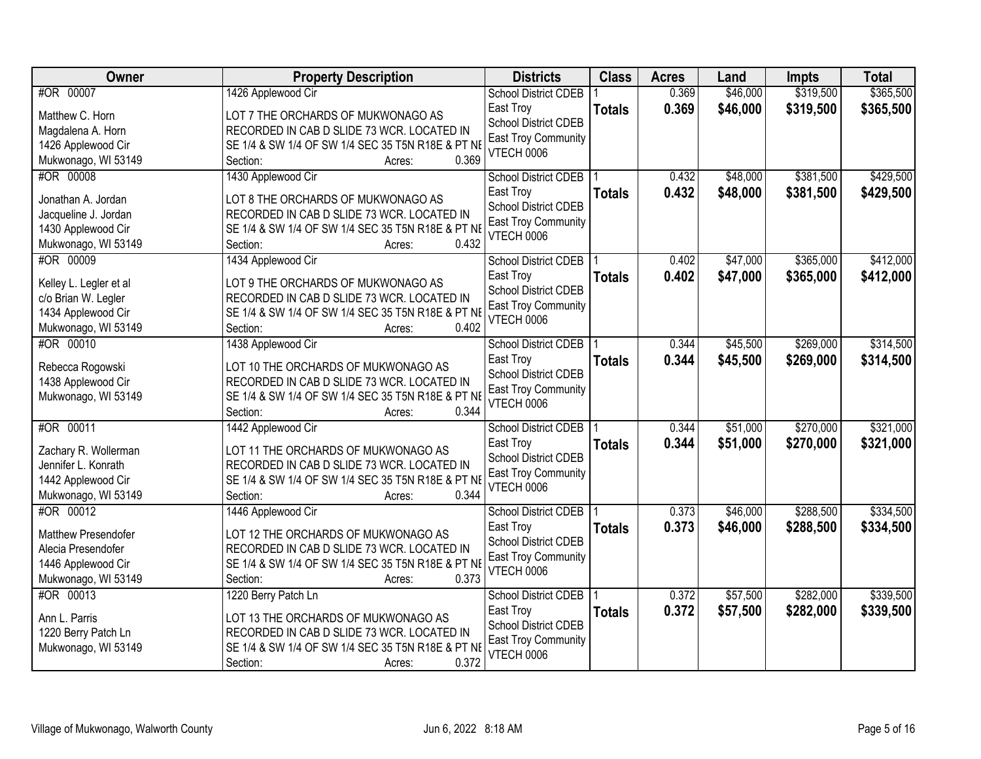| <b>Owner</b>                               | <b>Property Description</b>                                                       | <b>Districts</b>                         | <b>Class</b>  | <b>Acres</b> | Land     | <b>Impts</b> | <b>Total</b> |
|--------------------------------------------|-----------------------------------------------------------------------------------|------------------------------------------|---------------|--------------|----------|--------------|--------------|
| #OR 00007                                  | 1426 Applewood Cir                                                                | <b>School District CDEB</b>              |               | 0.369        | \$46,000 | \$319,500    | \$365,500    |
| Matthew C. Horn                            | LOT 7 THE ORCHARDS OF MUKWONAGO AS                                                | East Troy                                | <b>Totals</b> | 0.369        | \$46,000 | \$319,500    | \$365,500    |
| Magdalena A. Horn                          | RECORDED IN CAB D SLIDE 73 WCR. LOCATED IN                                        | School District CDEB                     |               |              |          |              |              |
| 1426 Applewood Cir                         | SE 1/4 & SW 1/4 OF SW 1/4 SEC 35 T5N R18E & PT NI                                 | East Troy Community                      |               |              |          |              |              |
| Mukwonago, WI 53149                        | 0.369<br>Section:<br>Acres:                                                       | <b>VTECH 0006</b>                        |               |              |          |              |              |
| #OR 00008                                  | 1430 Applewood Cir                                                                | <b>School District CDEB</b>              |               | 0.432        | \$48,000 | \$381,500    | \$429,500    |
|                                            |                                                                                   | East Troy                                | <b>Totals</b> | 0.432        | \$48,000 | \$381,500    | \$429,500    |
| Jonathan A. Jordan                         | LOT 8 THE ORCHARDS OF MUKWONAGO AS                                                | <b>School District CDEB</b>              |               |              |          |              |              |
| Jacqueline J. Jordan                       | RECORDED IN CAB D SLIDE 73 WCR. LOCATED IN                                        | <b>East Troy Community</b>               |               |              |          |              |              |
| 1430 Applewood Cir                         | SE 1/4 & SW 1/4 OF SW 1/4 SEC 35 T5N R18E & PT NE<br>0.432                        | <b>VTECH 0006</b>                        |               |              |          |              |              |
| Mukwonago, WI 53149                        | Section:<br>Acres:                                                                |                                          |               |              |          |              |              |
| #OR 00009                                  | 1434 Applewood Cir                                                                | <b>School District CDEB</b>              |               | 0.402        | \$47,000 | \$365,000    | \$412,000    |
| Kelley L. Legler et al                     | LOT 9 THE ORCHARDS OF MUKWONAGO AS                                                | East Troy                                | <b>Totals</b> | 0.402        | \$47,000 | \$365,000    | \$412,000    |
| c/o Brian W. Legler                        | RECORDED IN CAB D SLIDE 73 WCR. LOCATED IN                                        | <b>School District CDEB</b>              |               |              |          |              |              |
| 1434 Applewood Cir                         | SE 1/4 & SW 1/4 OF SW 1/4 SEC 35 T5N R18E & PT NE                                 | <b>East Troy Community</b><br>VTECH 0006 |               |              |          |              |              |
| Mukwonago, WI 53149                        | 0.402<br>Section:<br>Acres:                                                       |                                          |               |              |          |              |              |
| #OR 00010                                  | 1438 Applewood Cir                                                                | <b>School District CDEB</b>              |               | 0.344        | \$45,500 | \$269,000    | \$314,500    |
|                                            | LOT 10 THE ORCHARDS OF MUKWONAGO AS                                               | East Troy                                | <b>Totals</b> | 0.344        | \$45,500 | \$269,000    | \$314,500    |
| Rebecca Rogowski<br>1438 Applewood Cir     | RECORDED IN CAB D SLIDE 73 WCR. LOCATED IN                                        | School District CDEB                     |               |              |          |              |              |
| Mukwonago, WI 53149                        | SE 1/4 & SW 1/4 OF SW 1/4 SEC 35 T5N R18E & PT NI                                 | <b>East Troy Community</b>               |               |              |          |              |              |
|                                            | 0.344<br>Section:<br>Acres:                                                       | <b>VTECH 0006</b>                        |               |              |          |              |              |
| #OR 00011                                  | 1442 Applewood Cir                                                                | <b>School District CDEB</b>              |               | 0.344        | \$51,000 | \$270,000    | \$321,000    |
|                                            |                                                                                   | East Troy                                | <b>Totals</b> | 0.344        | \$51,000 | \$270,000    | \$321,000    |
| Zachary R. Wollerman                       | LOT 11 THE ORCHARDS OF MUKWONAGO AS                                               | School District CDEB                     |               |              |          |              |              |
| Jennifer L. Konrath                        | RECORDED IN CAB D SLIDE 73 WCR. LOCATED IN                                        | <b>East Troy Community</b>               |               |              |          |              |              |
| 1442 Applewood Cir                         | SE 1/4 & SW 1/4 OF SW 1/4 SEC 35 T5N R18E & PT NE                                 | VTECH 0006                               |               |              |          |              |              |
| Mukwonago, WI 53149                        | 0.344<br>Section:<br>Acres:                                                       |                                          |               |              |          |              |              |
| #OR 00012                                  | 1446 Applewood Cir                                                                | <b>School District CDEB</b>              |               | 0.373        | \$46,000 | \$288,500    | \$334,500    |
| <b>Matthew Presendofer</b>                 | LOT 12 THE ORCHARDS OF MUKWONAGO AS                                               | East Troy                                | <b>Totals</b> | 0.373        | \$46,000 | \$288,500    | \$334,500    |
| Alecia Presendofer                         | RECORDED IN CAB D SLIDE 73 WCR. LOCATED IN                                        | School District CDEB                     |               |              |          |              |              |
| 1446 Applewood Cir                         | SE 1/4 & SW 1/4 OF SW 1/4 SEC 35 T5N R18E & PT NI                                 | East Troy Community                      |               |              |          |              |              |
| Mukwonago, WI 53149                        | 0.373<br>Section:<br>Acres:                                                       | <b>VTECH 0006</b>                        |               |              |          |              |              |
| #OR 00013                                  | 1220 Berry Patch Ln                                                               | <b>School District CDEB</b>              |               | 0.372        | \$57,500 | \$282,000    | \$339,500    |
|                                            |                                                                                   | East Troy                                | <b>Totals</b> | 0.372        | \$57,500 | \$282,000    | \$339,500    |
| Ann L. Parris                              | LOT 13 THE ORCHARDS OF MUKWONAGO AS<br>RECORDED IN CAB D SLIDE 73 WCR. LOCATED IN | <b>School District CDEB</b>              |               |              |          |              |              |
| 1220 Berry Patch Ln<br>Mukwonago, WI 53149 | SE 1/4 & SW 1/4 OF SW 1/4 SEC 35 T5N R18E & PT NE                                 | <b>East Troy Community</b>               |               |              |          |              |              |
|                                            | 0.372<br>Section:<br>Acres:                                                       | <b>VTECH 0006</b>                        |               |              |          |              |              |
|                                            |                                                                                   |                                          |               |              |          |              |              |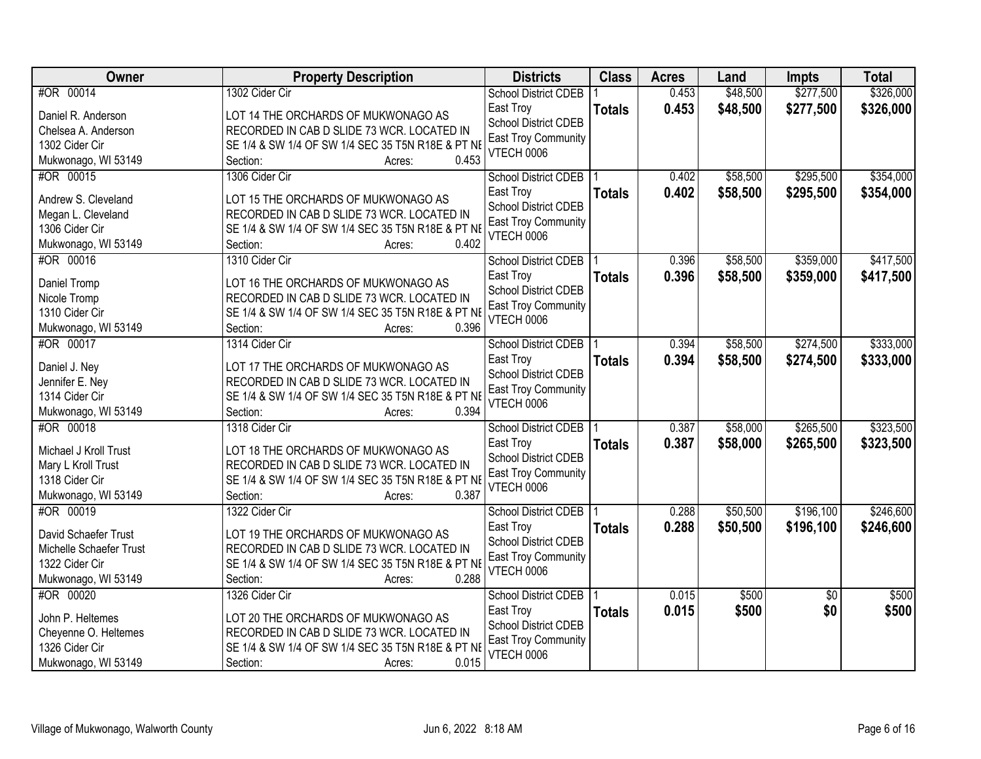| #OR 00014<br>1302 Cider Cir<br>0.453<br>\$48,500<br><b>School District CDEB</b><br>0.453<br>East Troy<br>\$48,500<br>\$277,500<br>\$326,000<br><b>Totals</b><br>Daniel R. Anderson<br>LOT 14 THE ORCHARDS OF MUKWONAGO AS<br><b>School District CDEB</b><br>RECORDED IN CAB D SLIDE 73 WCR. LOCATED IN<br>Chelsea A. Anderson<br>East Troy Community<br>SE 1/4 & SW 1/4 OF SW 1/4 SEC 35 T5N R18E & PT NE<br>1302 Cider Cir<br><b>VTECH 0006</b><br>Mukwonago, WI 53149<br>0.453<br>Section:<br>Acres:<br>\$295,500<br>\$354,000<br>#OR 00015<br>1306 Cider Cir<br>0.402<br>\$58,500<br><b>School District CDEB</b><br>0.402<br>\$58,500<br>\$295,500<br>\$354,000<br>East Troy<br><b>Totals</b><br>Andrew S. Cleveland<br>LOT 15 THE ORCHARDS OF MUKWONAGO AS<br><b>School District CDEB</b><br>Megan L. Cleveland<br>RECORDED IN CAB D SLIDE 73 WCR. LOCATED IN<br><b>East Troy Community</b><br>1306 Cider Cir<br>SE 1/4 & SW 1/4 OF SW 1/4 SEC 35 T5N R18E & PT NE<br><b>VTECH 0006</b><br>0.402<br>Mukwonago, WI 53149<br>Section:<br>Acres:<br>\$58,500<br>\$359,000<br>\$417,500<br>#OR 00016<br>1310 Cider Cir<br>0.396<br><b>School District CDEB</b><br>\$58,500<br>East Troy<br>0.396<br>\$359,000<br><b>Totals</b><br>LOT 16 THE ORCHARDS OF MUKWONAGO AS<br>Daniel Tromp<br>School District CDEB<br>RECORDED IN CAB D SLIDE 73 WCR. LOCATED IN<br>Nicole Tromp<br><b>East Troy Community</b><br>1310 Cider Cir<br>SE 1/4 & SW 1/4 OF SW 1/4 SEC 35 T5N R18E & PT NE<br><b>VTECH 0006</b><br>0.396<br>Mukwonago, WI 53149<br>Section:<br>Acres:<br>\$333,000<br>#OR 00017<br>\$58,500<br>\$274,500<br>1314 Cider Cir<br>0.394<br><b>School District CDEB</b><br>0.394<br>East Troy<br>\$58,500<br>\$274,500<br>\$333,000<br><b>Totals</b><br>LOT 17 THE ORCHARDS OF MUKWONAGO AS<br>Daniel J. Ney<br><b>School District CDEB</b><br>Jennifer E. Ney<br>RECORDED IN CAB D SLIDE 73 WCR. LOCATED IN<br><b>East Troy Community</b><br>1314 Cider Cir<br>SE 1/4 & SW 1/4 OF SW 1/4 SEC 35 T5N R18E & PT NE<br><b>VTECH 0006</b><br>0.394<br>Mukwonago, WI 53149<br>Section:<br>Acres:<br>#OR 00018<br>\$58,000<br>\$265,500<br>1318 Cider Cir<br>0.387<br><b>School District CDEB</b><br>0.387<br>\$58,000<br>\$265,500<br>\$323,500<br>East Troy<br><b>Totals</b><br>Michael J Kroll Trust<br>LOT 18 THE ORCHARDS OF MUKWONAGO AS<br><b>School District CDEB</b><br>RECORDED IN CAB D SLIDE 73 WCR. LOCATED IN<br>Mary L Kroll Trust<br>East Troy Community<br>1318 Cider Cir<br>SE 1/4 & SW 1/4 OF SW 1/4 SEC 35 T5N R18E & PT NE<br><b>VTECH 0006</b><br>0.387<br>Mukwonago, WI 53149<br>Section:<br>Acres:<br>\$50,500<br>\$196,100<br>#OR 00019<br>1322 Cider Cir<br>0.288<br>School District CDEB<br>0.288<br>\$50,500<br>\$196,100<br>East Troy<br><b>Totals</b><br>David Schaefer Trust<br>LOT 19 THE ORCHARDS OF MUKWONAGO AS<br>School District CDEB<br>RECORDED IN CAB D SLIDE 73 WCR. LOCATED IN<br>Michelle Schaefer Trust<br><b>East Troy Community</b> | Owner          | <b>Property Description</b>                       | <b>Districts</b>  | <b>Class</b> | <b>Acres</b> | Land | <b>Impts</b> | <b>Total</b> |
|-------------------------------------------------------------------------------------------------------------------------------------------------------------------------------------------------------------------------------------------------------------------------------------------------------------------------------------------------------------------------------------------------------------------------------------------------------------------------------------------------------------------------------------------------------------------------------------------------------------------------------------------------------------------------------------------------------------------------------------------------------------------------------------------------------------------------------------------------------------------------------------------------------------------------------------------------------------------------------------------------------------------------------------------------------------------------------------------------------------------------------------------------------------------------------------------------------------------------------------------------------------------------------------------------------------------------------------------------------------------------------------------------------------------------------------------------------------------------------------------------------------------------------------------------------------------------------------------------------------------------------------------------------------------------------------------------------------------------------------------------------------------------------------------------------------------------------------------------------------------------------------------------------------------------------------------------------------------------------------------------------------------------------------------------------------------------------------------------------------------------------------------------------------------------------------------------------------------------------------------------------------------------------------------------------------------------------------------------------------------------------------------------------------------------------------------------------------------------------------------------------------------------------------------------------------------------------------------------------------------------------------------------------------------------------------------------------------------------------------------------------------------------------------------------------------------------------------------------------------------------------------------------------------------------------------------------------------------------------|----------------|---------------------------------------------------|-------------------|--------------|--------------|------|--------------|--------------|
| \$417,500<br>\$323,500<br>\$246,600<br>\$246,600                                                                                                                                                                                                                                                                                                                                                                                                                                                                                                                                                                                                                                                                                                                                                                                                                                                                                                                                                                                                                                                                                                                                                                                                                                                                                                                                                                                                                                                                                                                                                                                                                                                                                                                                                                                                                                                                                                                                                                                                                                                                                                                                                                                                                                                                                                                                                                                                                                                                                                                                                                                                                                                                                                                                                                                                                                                                                                                              |                |                                                   |                   |              |              |      | \$277,500    | \$326,000    |
|                                                                                                                                                                                                                                                                                                                                                                                                                                                                                                                                                                                                                                                                                                                                                                                                                                                                                                                                                                                                                                                                                                                                                                                                                                                                                                                                                                                                                                                                                                                                                                                                                                                                                                                                                                                                                                                                                                                                                                                                                                                                                                                                                                                                                                                                                                                                                                                                                                                                                                                                                                                                                                                                                                                                                                                                                                                                                                                                                                               |                |                                                   |                   |              |              |      |              |              |
|                                                                                                                                                                                                                                                                                                                                                                                                                                                                                                                                                                                                                                                                                                                                                                                                                                                                                                                                                                                                                                                                                                                                                                                                                                                                                                                                                                                                                                                                                                                                                                                                                                                                                                                                                                                                                                                                                                                                                                                                                                                                                                                                                                                                                                                                                                                                                                                                                                                                                                                                                                                                                                                                                                                                                                                                                                                                                                                                                                               |                |                                                   |                   |              |              |      |              |              |
|                                                                                                                                                                                                                                                                                                                                                                                                                                                                                                                                                                                                                                                                                                                                                                                                                                                                                                                                                                                                                                                                                                                                                                                                                                                                                                                                                                                                                                                                                                                                                                                                                                                                                                                                                                                                                                                                                                                                                                                                                                                                                                                                                                                                                                                                                                                                                                                                                                                                                                                                                                                                                                                                                                                                                                                                                                                                                                                                                                               |                |                                                   |                   |              |              |      |              |              |
|                                                                                                                                                                                                                                                                                                                                                                                                                                                                                                                                                                                                                                                                                                                                                                                                                                                                                                                                                                                                                                                                                                                                                                                                                                                                                                                                                                                                                                                                                                                                                                                                                                                                                                                                                                                                                                                                                                                                                                                                                                                                                                                                                                                                                                                                                                                                                                                                                                                                                                                                                                                                                                                                                                                                                                                                                                                                                                                                                                               |                |                                                   |                   |              |              |      |              |              |
|                                                                                                                                                                                                                                                                                                                                                                                                                                                                                                                                                                                                                                                                                                                                                                                                                                                                                                                                                                                                                                                                                                                                                                                                                                                                                                                                                                                                                                                                                                                                                                                                                                                                                                                                                                                                                                                                                                                                                                                                                                                                                                                                                                                                                                                                                                                                                                                                                                                                                                                                                                                                                                                                                                                                                                                                                                                                                                                                                                               |                |                                                   |                   |              |              |      |              |              |
|                                                                                                                                                                                                                                                                                                                                                                                                                                                                                                                                                                                                                                                                                                                                                                                                                                                                                                                                                                                                                                                                                                                                                                                                                                                                                                                                                                                                                                                                                                                                                                                                                                                                                                                                                                                                                                                                                                                                                                                                                                                                                                                                                                                                                                                                                                                                                                                                                                                                                                                                                                                                                                                                                                                                                                                                                                                                                                                                                                               |                |                                                   |                   |              |              |      |              |              |
|                                                                                                                                                                                                                                                                                                                                                                                                                                                                                                                                                                                                                                                                                                                                                                                                                                                                                                                                                                                                                                                                                                                                                                                                                                                                                                                                                                                                                                                                                                                                                                                                                                                                                                                                                                                                                                                                                                                                                                                                                                                                                                                                                                                                                                                                                                                                                                                                                                                                                                                                                                                                                                                                                                                                                                                                                                                                                                                                                                               |                |                                                   |                   |              |              |      |              |              |
|                                                                                                                                                                                                                                                                                                                                                                                                                                                                                                                                                                                                                                                                                                                                                                                                                                                                                                                                                                                                                                                                                                                                                                                                                                                                                                                                                                                                                                                                                                                                                                                                                                                                                                                                                                                                                                                                                                                                                                                                                                                                                                                                                                                                                                                                                                                                                                                                                                                                                                                                                                                                                                                                                                                                                                                                                                                                                                                                                                               |                |                                                   |                   |              |              |      |              |              |
|                                                                                                                                                                                                                                                                                                                                                                                                                                                                                                                                                                                                                                                                                                                                                                                                                                                                                                                                                                                                                                                                                                                                                                                                                                                                                                                                                                                                                                                                                                                                                                                                                                                                                                                                                                                                                                                                                                                                                                                                                                                                                                                                                                                                                                                                                                                                                                                                                                                                                                                                                                                                                                                                                                                                                                                                                                                                                                                                                                               |                |                                                   |                   |              |              |      |              |              |
|                                                                                                                                                                                                                                                                                                                                                                                                                                                                                                                                                                                                                                                                                                                                                                                                                                                                                                                                                                                                                                                                                                                                                                                                                                                                                                                                                                                                                                                                                                                                                                                                                                                                                                                                                                                                                                                                                                                                                                                                                                                                                                                                                                                                                                                                                                                                                                                                                                                                                                                                                                                                                                                                                                                                                                                                                                                                                                                                                                               |                |                                                   |                   |              |              |      |              |              |
|                                                                                                                                                                                                                                                                                                                                                                                                                                                                                                                                                                                                                                                                                                                                                                                                                                                                                                                                                                                                                                                                                                                                                                                                                                                                                                                                                                                                                                                                                                                                                                                                                                                                                                                                                                                                                                                                                                                                                                                                                                                                                                                                                                                                                                                                                                                                                                                                                                                                                                                                                                                                                                                                                                                                                                                                                                                                                                                                                                               |                |                                                   |                   |              |              |      |              |              |
|                                                                                                                                                                                                                                                                                                                                                                                                                                                                                                                                                                                                                                                                                                                                                                                                                                                                                                                                                                                                                                                                                                                                                                                                                                                                                                                                                                                                                                                                                                                                                                                                                                                                                                                                                                                                                                                                                                                                                                                                                                                                                                                                                                                                                                                                                                                                                                                                                                                                                                                                                                                                                                                                                                                                                                                                                                                                                                                                                                               |                |                                                   |                   |              |              |      |              |              |
|                                                                                                                                                                                                                                                                                                                                                                                                                                                                                                                                                                                                                                                                                                                                                                                                                                                                                                                                                                                                                                                                                                                                                                                                                                                                                                                                                                                                                                                                                                                                                                                                                                                                                                                                                                                                                                                                                                                                                                                                                                                                                                                                                                                                                                                                                                                                                                                                                                                                                                                                                                                                                                                                                                                                                                                                                                                                                                                                                                               |                |                                                   |                   |              |              |      |              |              |
|                                                                                                                                                                                                                                                                                                                                                                                                                                                                                                                                                                                                                                                                                                                                                                                                                                                                                                                                                                                                                                                                                                                                                                                                                                                                                                                                                                                                                                                                                                                                                                                                                                                                                                                                                                                                                                                                                                                                                                                                                                                                                                                                                                                                                                                                                                                                                                                                                                                                                                                                                                                                                                                                                                                                                                                                                                                                                                                                                                               |                |                                                   |                   |              |              |      |              |              |
|                                                                                                                                                                                                                                                                                                                                                                                                                                                                                                                                                                                                                                                                                                                                                                                                                                                                                                                                                                                                                                                                                                                                                                                                                                                                                                                                                                                                                                                                                                                                                                                                                                                                                                                                                                                                                                                                                                                                                                                                                                                                                                                                                                                                                                                                                                                                                                                                                                                                                                                                                                                                                                                                                                                                                                                                                                                                                                                                                                               |                |                                                   |                   |              |              |      |              |              |
|                                                                                                                                                                                                                                                                                                                                                                                                                                                                                                                                                                                                                                                                                                                                                                                                                                                                                                                                                                                                                                                                                                                                                                                                                                                                                                                                                                                                                                                                                                                                                                                                                                                                                                                                                                                                                                                                                                                                                                                                                                                                                                                                                                                                                                                                                                                                                                                                                                                                                                                                                                                                                                                                                                                                                                                                                                                                                                                                                                               |                |                                                   |                   |              |              |      |              |              |
|                                                                                                                                                                                                                                                                                                                                                                                                                                                                                                                                                                                                                                                                                                                                                                                                                                                                                                                                                                                                                                                                                                                                                                                                                                                                                                                                                                                                                                                                                                                                                                                                                                                                                                                                                                                                                                                                                                                                                                                                                                                                                                                                                                                                                                                                                                                                                                                                                                                                                                                                                                                                                                                                                                                                                                                                                                                                                                                                                                               |                |                                                   |                   |              |              |      |              |              |
|                                                                                                                                                                                                                                                                                                                                                                                                                                                                                                                                                                                                                                                                                                                                                                                                                                                                                                                                                                                                                                                                                                                                                                                                                                                                                                                                                                                                                                                                                                                                                                                                                                                                                                                                                                                                                                                                                                                                                                                                                                                                                                                                                                                                                                                                                                                                                                                                                                                                                                                                                                                                                                                                                                                                                                                                                                                                                                                                                                               |                |                                                   |                   |              |              |      |              |              |
|                                                                                                                                                                                                                                                                                                                                                                                                                                                                                                                                                                                                                                                                                                                                                                                                                                                                                                                                                                                                                                                                                                                                                                                                                                                                                                                                                                                                                                                                                                                                                                                                                                                                                                                                                                                                                                                                                                                                                                                                                                                                                                                                                                                                                                                                                                                                                                                                                                                                                                                                                                                                                                                                                                                                                                                                                                                                                                                                                                               |                |                                                   |                   |              |              |      |              |              |
|                                                                                                                                                                                                                                                                                                                                                                                                                                                                                                                                                                                                                                                                                                                                                                                                                                                                                                                                                                                                                                                                                                                                                                                                                                                                                                                                                                                                                                                                                                                                                                                                                                                                                                                                                                                                                                                                                                                                                                                                                                                                                                                                                                                                                                                                                                                                                                                                                                                                                                                                                                                                                                                                                                                                                                                                                                                                                                                                                                               |                |                                                   |                   |              |              |      |              |              |
|                                                                                                                                                                                                                                                                                                                                                                                                                                                                                                                                                                                                                                                                                                                                                                                                                                                                                                                                                                                                                                                                                                                                                                                                                                                                                                                                                                                                                                                                                                                                                                                                                                                                                                                                                                                                                                                                                                                                                                                                                                                                                                                                                                                                                                                                                                                                                                                                                                                                                                                                                                                                                                                                                                                                                                                                                                                                                                                                                                               |                |                                                   |                   |              |              |      |              |              |
|                                                                                                                                                                                                                                                                                                                                                                                                                                                                                                                                                                                                                                                                                                                                                                                                                                                                                                                                                                                                                                                                                                                                                                                                                                                                                                                                                                                                                                                                                                                                                                                                                                                                                                                                                                                                                                                                                                                                                                                                                                                                                                                                                                                                                                                                                                                                                                                                                                                                                                                                                                                                                                                                                                                                                                                                                                                                                                                                                                               |                |                                                   |                   |              |              |      |              |              |
|                                                                                                                                                                                                                                                                                                                                                                                                                                                                                                                                                                                                                                                                                                                                                                                                                                                                                                                                                                                                                                                                                                                                                                                                                                                                                                                                                                                                                                                                                                                                                                                                                                                                                                                                                                                                                                                                                                                                                                                                                                                                                                                                                                                                                                                                                                                                                                                                                                                                                                                                                                                                                                                                                                                                                                                                                                                                                                                                                                               |                |                                                   |                   |              |              |      |              |              |
|                                                                                                                                                                                                                                                                                                                                                                                                                                                                                                                                                                                                                                                                                                                                                                                                                                                                                                                                                                                                                                                                                                                                                                                                                                                                                                                                                                                                                                                                                                                                                                                                                                                                                                                                                                                                                                                                                                                                                                                                                                                                                                                                                                                                                                                                                                                                                                                                                                                                                                                                                                                                                                                                                                                                                                                                                                                                                                                                                                               |                |                                                   |                   |              |              |      |              |              |
|                                                                                                                                                                                                                                                                                                                                                                                                                                                                                                                                                                                                                                                                                                                                                                                                                                                                                                                                                                                                                                                                                                                                                                                                                                                                                                                                                                                                                                                                                                                                                                                                                                                                                                                                                                                                                                                                                                                                                                                                                                                                                                                                                                                                                                                                                                                                                                                                                                                                                                                                                                                                                                                                                                                                                                                                                                                                                                                                                                               |                |                                                   |                   |              |              |      |              |              |
|                                                                                                                                                                                                                                                                                                                                                                                                                                                                                                                                                                                                                                                                                                                                                                                                                                                                                                                                                                                                                                                                                                                                                                                                                                                                                                                                                                                                                                                                                                                                                                                                                                                                                                                                                                                                                                                                                                                                                                                                                                                                                                                                                                                                                                                                                                                                                                                                                                                                                                                                                                                                                                                                                                                                                                                                                                                                                                                                                                               |                |                                                   |                   |              |              |      |              |              |
|                                                                                                                                                                                                                                                                                                                                                                                                                                                                                                                                                                                                                                                                                                                                                                                                                                                                                                                                                                                                                                                                                                                                                                                                                                                                                                                                                                                                                                                                                                                                                                                                                                                                                                                                                                                                                                                                                                                                                                                                                                                                                                                                                                                                                                                                                                                                                                                                                                                                                                                                                                                                                                                                                                                                                                                                                                                                                                                                                                               |                |                                                   |                   |              |              |      |              |              |
|                                                                                                                                                                                                                                                                                                                                                                                                                                                                                                                                                                                                                                                                                                                                                                                                                                                                                                                                                                                                                                                                                                                                                                                                                                                                                                                                                                                                                                                                                                                                                                                                                                                                                                                                                                                                                                                                                                                                                                                                                                                                                                                                                                                                                                                                                                                                                                                                                                                                                                                                                                                                                                                                                                                                                                                                                                                                                                                                                                               |                |                                                   |                   |              |              |      |              |              |
|                                                                                                                                                                                                                                                                                                                                                                                                                                                                                                                                                                                                                                                                                                                                                                                                                                                                                                                                                                                                                                                                                                                                                                                                                                                                                                                                                                                                                                                                                                                                                                                                                                                                                                                                                                                                                                                                                                                                                                                                                                                                                                                                                                                                                                                                                                                                                                                                                                                                                                                                                                                                                                                                                                                                                                                                                                                                                                                                                                               |                |                                                   |                   |              |              |      |              |              |
|                                                                                                                                                                                                                                                                                                                                                                                                                                                                                                                                                                                                                                                                                                                                                                                                                                                                                                                                                                                                                                                                                                                                                                                                                                                                                                                                                                                                                                                                                                                                                                                                                                                                                                                                                                                                                                                                                                                                                                                                                                                                                                                                                                                                                                                                                                                                                                                                                                                                                                                                                                                                                                                                                                                                                                                                                                                                                                                                                                               |                |                                                   |                   |              |              |      |              |              |
|                                                                                                                                                                                                                                                                                                                                                                                                                                                                                                                                                                                                                                                                                                                                                                                                                                                                                                                                                                                                                                                                                                                                                                                                                                                                                                                                                                                                                                                                                                                                                                                                                                                                                                                                                                                                                                                                                                                                                                                                                                                                                                                                                                                                                                                                                                                                                                                                                                                                                                                                                                                                                                                                                                                                                                                                                                                                                                                                                                               | 1322 Cider Cir | SE 1/4 & SW 1/4 OF SW 1/4 SEC 35 T5N R18E & PT NE | <b>VTECH 0006</b> |              |              |      |              |              |
| 0.288<br>Mukwonago, WI 53149<br>Section:<br>Acres:                                                                                                                                                                                                                                                                                                                                                                                                                                                                                                                                                                                                                                                                                                                                                                                                                                                                                                                                                                                                                                                                                                                                                                                                                                                                                                                                                                                                                                                                                                                                                                                                                                                                                                                                                                                                                                                                                                                                                                                                                                                                                                                                                                                                                                                                                                                                                                                                                                                                                                                                                                                                                                                                                                                                                                                                                                                                                                                            |                |                                                   |                   |              |              |      |              |              |
| #OR 00020<br>\$500<br>\$500<br>1326 Cider Cir<br>0.015<br>$\overline{30}$<br><b>School District CDEB</b>                                                                                                                                                                                                                                                                                                                                                                                                                                                                                                                                                                                                                                                                                                                                                                                                                                                                                                                                                                                                                                                                                                                                                                                                                                                                                                                                                                                                                                                                                                                                                                                                                                                                                                                                                                                                                                                                                                                                                                                                                                                                                                                                                                                                                                                                                                                                                                                                                                                                                                                                                                                                                                                                                                                                                                                                                                                                      |                |                                                   |                   |              |              |      |              |              |
| 0.015<br>\$500<br>\$0<br>\$500<br>East Troy<br><b>Totals</b><br>John P. Heltemes<br>LOT 20 THE ORCHARDS OF MUKWONAGO AS                                                                                                                                                                                                                                                                                                                                                                                                                                                                                                                                                                                                                                                                                                                                                                                                                                                                                                                                                                                                                                                                                                                                                                                                                                                                                                                                                                                                                                                                                                                                                                                                                                                                                                                                                                                                                                                                                                                                                                                                                                                                                                                                                                                                                                                                                                                                                                                                                                                                                                                                                                                                                                                                                                                                                                                                                                                       |                |                                                   |                   |              |              |      |              |              |
| <b>School District CDEB</b><br>Cheyenne O. Heltemes<br>RECORDED IN CAB D SLIDE 73 WCR. LOCATED IN                                                                                                                                                                                                                                                                                                                                                                                                                                                                                                                                                                                                                                                                                                                                                                                                                                                                                                                                                                                                                                                                                                                                                                                                                                                                                                                                                                                                                                                                                                                                                                                                                                                                                                                                                                                                                                                                                                                                                                                                                                                                                                                                                                                                                                                                                                                                                                                                                                                                                                                                                                                                                                                                                                                                                                                                                                                                             |                |                                                   |                   |              |              |      |              |              |
| <b>East Troy Community</b><br>1326 Cider Cir<br>SE 1/4 & SW 1/4 OF SW 1/4 SEC 35 T5N R18E & PT NE                                                                                                                                                                                                                                                                                                                                                                                                                                                                                                                                                                                                                                                                                                                                                                                                                                                                                                                                                                                                                                                                                                                                                                                                                                                                                                                                                                                                                                                                                                                                                                                                                                                                                                                                                                                                                                                                                                                                                                                                                                                                                                                                                                                                                                                                                                                                                                                                                                                                                                                                                                                                                                                                                                                                                                                                                                                                             |                |                                                   |                   |              |              |      |              |              |
| <b>VTECH 0006</b><br>0.015<br>Mukwonago, WI 53149<br>Section:<br>Acres:                                                                                                                                                                                                                                                                                                                                                                                                                                                                                                                                                                                                                                                                                                                                                                                                                                                                                                                                                                                                                                                                                                                                                                                                                                                                                                                                                                                                                                                                                                                                                                                                                                                                                                                                                                                                                                                                                                                                                                                                                                                                                                                                                                                                                                                                                                                                                                                                                                                                                                                                                                                                                                                                                                                                                                                                                                                                                                       |                |                                                   |                   |              |              |      |              |              |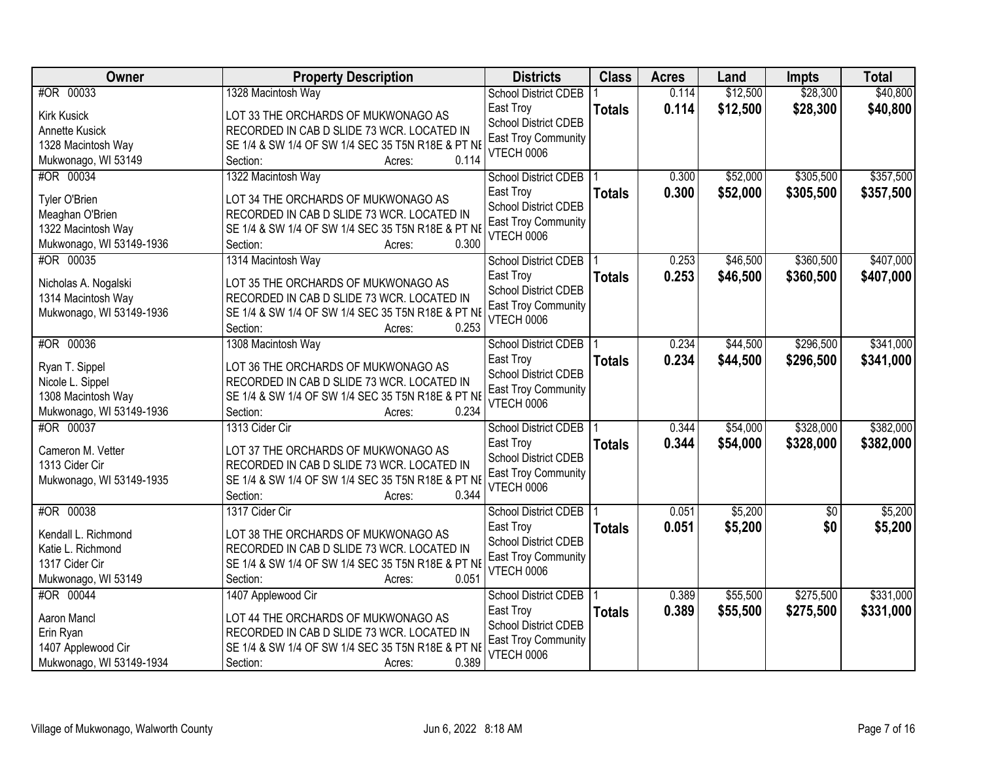| Owner                            | <b>Property Description</b>                       | <b>Districts</b>                         | <b>Class</b>  | <b>Acres</b> | Land     | <b>Impts</b>    | <b>Total</b> |
|----------------------------------|---------------------------------------------------|------------------------------------------|---------------|--------------|----------|-----------------|--------------|
| #OR 00033                        | 1328 Macintosh Way                                | <b>School District CDEB</b>              |               | 0.114        | \$12,500 | \$28,300        | \$40,800     |
| <b>Kirk Kusick</b>               | LOT 33 THE ORCHARDS OF MUKWONAGO AS               | East Troy                                | <b>Totals</b> | 0.114        | \$12,500 | \$28,300        | \$40,800     |
| Annette Kusick                   | RECORDED IN CAB D SLIDE 73 WCR. LOCATED IN        | <b>School District CDEB</b>              |               |              |          |                 |              |
| 1328 Macintosh Way               | SE 1/4 & SW 1/4 OF SW 1/4 SEC 35 T5N R18E & PT NE | East Troy Community                      |               |              |          |                 |              |
| Mukwonago, WI 53149              | 0.114<br>Section:<br>Acres:                       | VTECH 0006                               |               |              |          |                 |              |
| #OR 00034                        | 1322 Macintosh Way                                | <b>School District CDEB</b>              |               | 0.300        | \$52,000 | \$305,500       | \$357,500    |
|                                  |                                                   | East Troy                                | <b>Totals</b> | 0.300        | \$52,000 | \$305,500       | \$357,500    |
| Tyler O'Brien                    | LOT 34 THE ORCHARDS OF MUKWONAGO AS               | <b>School District CDEB</b>              |               |              |          |                 |              |
| Meaghan O'Brien                  | RECORDED IN CAB D SLIDE 73 WCR. LOCATED IN        | <b>East Troy Community</b>               |               |              |          |                 |              |
| 1322 Macintosh Way               | SE 1/4 & SW 1/4 OF SW 1/4 SEC 35 T5N R18E & PT NE | VTECH 0006                               |               |              |          |                 |              |
| Mukwonago, WI 53149-1936         | 0.300<br>Section:<br>Acres:                       |                                          |               |              |          |                 |              |
| #OR 00035                        | 1314 Macintosh Way                                | School District CDEB                     |               | 0.253        | \$46,500 | \$360,500       | \$407,000    |
| Nicholas A. Nogalski             | LOT 35 THE ORCHARDS OF MUKWONAGO AS               | East Troy                                | <b>Totals</b> | 0.253        | \$46,500 | \$360,500       | \$407,000    |
| 1314 Macintosh Way               | RECORDED IN CAB D SLIDE 73 WCR. LOCATED IN        | <b>School District CDEB</b>              |               |              |          |                 |              |
| Mukwonago, WI 53149-1936         | SE 1/4 & SW 1/4 OF SW 1/4 SEC 35 T5N R18E & PT NE | East Troy Community                      |               |              |          |                 |              |
|                                  | Section:<br>0.253<br>Acres:                       | <b>VTECH 0006</b>                        |               |              |          |                 |              |
| #OR 00036                        | 1308 Macintosh Way                                | School District CDEB                     |               | 0.234        | \$44,500 | \$296,500       | \$341,000    |
|                                  |                                                   | East Troy                                | <b>Totals</b> | 0.234        | \$44,500 | \$296,500       | \$341,000    |
| Ryan T. Sippel                   | LOT 36 THE ORCHARDS OF MUKWONAGO AS               | <b>School District CDEB</b>              |               |              |          |                 |              |
| Nicole L. Sippel                 | RECORDED IN CAB D SLIDE 73 WCR. LOCATED IN        | East Troy Community                      |               |              |          |                 |              |
| 1308 Macintosh Way               | SE 1/4 & SW 1/4 OF SW 1/4 SEC 35 T5N R18E & PT NE | <b>VTECH 0006</b>                        |               |              |          |                 |              |
| Mukwonago, WI 53149-1936         | 0.234<br>Section:<br>Acres:                       |                                          |               |              |          |                 |              |
| #OR 00037                        | 1313 Cider Cir                                    | <b>School District CDEB</b>              |               | 0.344        | \$54,000 | \$328,000       | \$382,000    |
| Cameron M. Vetter                | LOT 37 THE ORCHARDS OF MUKWONAGO AS               | East Troy                                | <b>Totals</b> | 0.344        | \$54,000 | \$328,000       | \$382,000    |
| 1313 Cider Cir                   | RECORDED IN CAB D SLIDE 73 WCR. LOCATED IN        | <b>School District CDEB</b>              |               |              |          |                 |              |
| Mukwonago, WI 53149-1935         | SE 1/4 & SW 1/4 OF SW 1/4 SEC 35 T5N R18E & PT NE | <b>East Troy Community</b>               |               |              |          |                 |              |
|                                  | 0.344<br>Section:<br>Acres:                       | VTECH 0006                               |               |              |          |                 |              |
| #OR 00038                        | 1317 Cider Cir                                    | School District CDEB                     |               | 0.051        | \$5,200  | $\overline{50}$ | \$5,200      |
| Kendall L. Richmond              | LOT 38 THE ORCHARDS OF MUKWONAGO AS               | East Troy                                | <b>Totals</b> | 0.051        | \$5,200  | \$0             | \$5,200      |
| Katie L. Richmond                | RECORDED IN CAB D SLIDE 73 WCR. LOCATED IN        | <b>School District CDEB</b>              |               |              |          |                 |              |
| 1317 Cider Cir                   | SE 1/4 & SW 1/4 OF SW 1/4 SEC 35 T5N R18E & PT NE | East Troy Community                      |               |              |          |                 |              |
|                                  | Section:<br>0.051                                 | <b>VTECH 0006</b>                        |               |              |          |                 |              |
| Mukwonago, WI 53149<br>#OR 00044 | Acres:<br>1407 Applewood Cir                      |                                          |               | 0.389        | \$55,500 | \$275,500       | \$331,000    |
|                                  |                                                   | <b>School District CDEB</b>              |               |              |          |                 |              |
| Aaron Mancl                      | LOT 44 THE ORCHARDS OF MUKWONAGO AS               | East Troy                                | <b>Totals</b> | 0.389        | \$55,500 | \$275,500       | \$331,000    |
| Erin Ryan                        | RECORDED IN CAB D SLIDE 73 WCR. LOCATED IN        | School District CDEB                     |               |              |          |                 |              |
| 1407 Applewood Cir               | SE 1/4 & SW 1/4 OF SW 1/4 SEC 35 T5N R18E & PT NE | East Troy Community<br><b>VTECH 0006</b> |               |              |          |                 |              |
| Mukwonago, WI 53149-1934         | 0.389<br>Section:<br>Acres:                       |                                          |               |              |          |                 |              |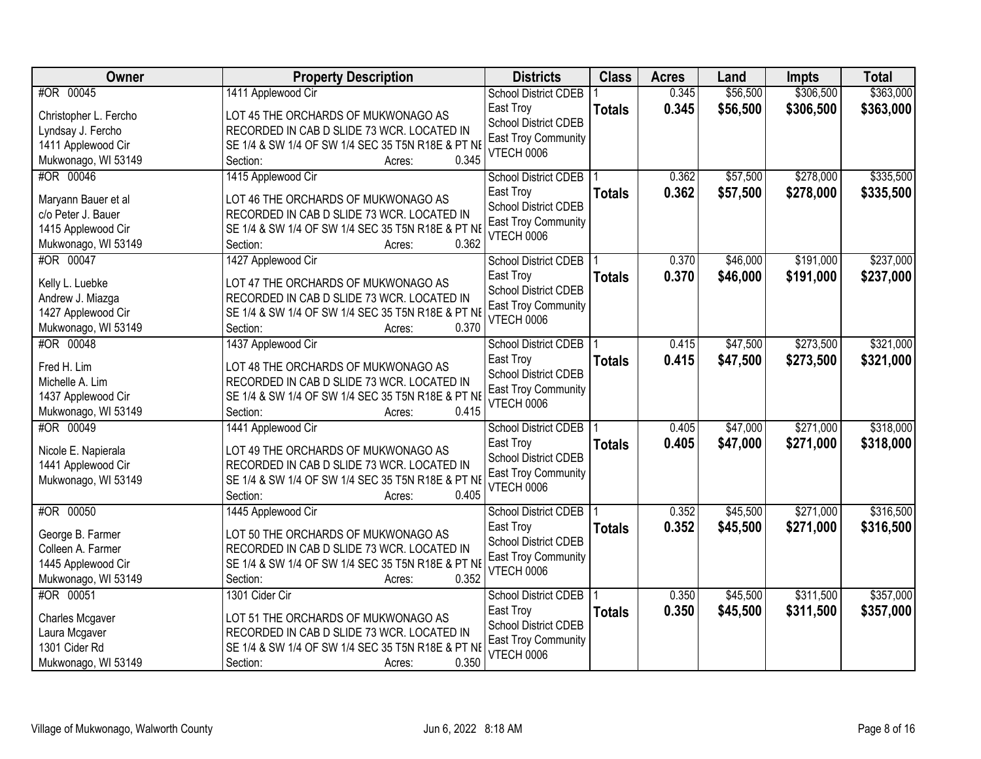| Owner                 | <b>Property Description</b>                                | <b>Districts</b>            | <b>Class</b>  | <b>Acres</b> | Land     | <b>Impts</b> | <b>Total</b> |
|-----------------------|------------------------------------------------------------|-----------------------------|---------------|--------------|----------|--------------|--------------|
| #OR 00045             | 1411 Applewood Cir                                         | <b>School District CDEB</b> |               | 0.345        | \$56,500 | \$306,500    | \$363,000    |
| Christopher L. Fercho | LOT 45 THE ORCHARDS OF MUKWONAGO AS                        | East Troy                   | <b>Totals</b> | 0.345        | \$56,500 | \$306,500    | \$363,000    |
| Lyndsay J. Fercho     | RECORDED IN CAB D SLIDE 73 WCR. LOCATED IN                 | <b>School District CDEB</b> |               |              |          |              |              |
| 1411 Applewood Cir    | SE 1/4 & SW 1/4 OF SW 1/4 SEC 35 T5N R18E & PT NE          | East Troy Community         |               |              |          |              |              |
| Mukwonago, WI 53149   | 0.345<br>Section:<br>Acres:                                | <b>VTECH 0006</b>           |               |              |          |              |              |
| #OR 00046             | 1415 Applewood Cir                                         | <b>School District CDEB</b> |               | 0.362        | \$57,500 | \$278,000    | \$335,500    |
|                       |                                                            | East Troy                   | <b>Totals</b> | 0.362        | \$57,500 | \$278,000    | \$335,500    |
| Maryann Bauer et al   | LOT 46 THE ORCHARDS OF MUKWONAGO AS                        | School District CDEB        |               |              |          |              |              |
| c/o Peter J. Bauer    | RECORDED IN CAB D SLIDE 73 WCR. LOCATED IN                 | <b>East Troy Community</b>  |               |              |          |              |              |
| 1415 Applewood Cir    | SE 1/4 & SW 1/4 OF SW 1/4 SEC 35 T5N R18E & PT NE<br>0.362 | VTECH 0006                  |               |              |          |              |              |
| Mukwonago, WI 53149   | Section:<br>Acres:                                         |                             |               |              |          |              |              |
| #OR 00047             | 1427 Applewood Cir                                         | <b>School District CDEB</b> |               | 0.370        | \$46,000 | \$191,000    | \$237,000    |
| Kelly L. Luebke       | LOT 47 THE ORCHARDS OF MUKWONAGO AS                        | East Troy                   | <b>Totals</b> | 0.370        | \$46,000 | \$191,000    | \$237,000    |
| Andrew J. Miazga      | RECORDED IN CAB D SLIDE 73 WCR. LOCATED IN                 | School District CDEB        |               |              |          |              |              |
| 1427 Applewood Cir    | SE 1/4 & SW 1/4 OF SW 1/4 SEC 35 T5N R18E & PT NE          | East Troy Community         |               |              |          |              |              |
| Mukwonago, WI 53149   | 0.370<br>Section:<br>Acres:                                | <b>VTECH 0006</b>           |               |              |          |              |              |
| #OR 00048             | 1437 Applewood Cir                                         | <b>School District CDEB</b> |               | 0.415        | \$47,500 | \$273,500    | \$321,000    |
|                       |                                                            | East Troy                   | <b>Totals</b> | 0.415        | \$47,500 | \$273,500    | \$321,000    |
| Fred H. Lim           | LOT 48 THE ORCHARDS OF MUKWONAGO AS                        | <b>School District CDEB</b> |               |              |          |              |              |
| Michelle A. Lim       | RECORDED IN CAB D SLIDE 73 WCR. LOCATED IN                 | <b>East Troy Community</b>  |               |              |          |              |              |
| 1437 Applewood Cir    | SE 1/4 & SW 1/4 OF SW 1/4 SEC 35 T5N R18E & PT NE          | <b>VTECH 0006</b>           |               |              |          |              |              |
| Mukwonago, WI 53149   | 0.415<br>Section:<br>Acres:                                |                             |               |              |          |              |              |
| #OR 00049             | 1441 Applewood Cir                                         | <b>School District CDEB</b> |               | 0.405        | \$47,000 | \$271,000    | \$318,000    |
| Nicole E. Napierala   | LOT 49 THE ORCHARDS OF MUKWONAGO AS                        | East Troy                   | <b>Totals</b> | 0.405        | \$47,000 | \$271,000    | \$318,000    |
| 1441 Applewood Cir    | RECORDED IN CAB D SLIDE 73 WCR. LOCATED IN                 | <b>School District CDEB</b> |               |              |          |              |              |
| Mukwonago, WI 53149   | SE 1/4 & SW 1/4 OF SW 1/4 SEC 35 T5N R18E & PT NE          | <b>East Troy Community</b>  |               |              |          |              |              |
|                       | 0.405<br>Section:<br>Acres:                                | VTECH 0006                  |               |              |          |              |              |
| #OR 00050             | 1445 Applewood Cir                                         | School District CDEB        |               | 0.352        | \$45,500 | \$271,000    | \$316,500    |
| George B. Farmer      | LOT 50 THE ORCHARDS OF MUKWONAGO AS                        | East Troy                   | <b>Totals</b> | 0.352        | \$45,500 | \$271,000    | \$316,500    |
| Colleen A. Farmer     | RECORDED IN CAB D SLIDE 73 WCR. LOCATED IN                 | <b>School District CDEB</b> |               |              |          |              |              |
| 1445 Applewood Cir    | SE 1/4 & SW 1/4 OF SW 1/4 SEC 35 T5N R18E & PT NE          | East Troy Community         |               |              |          |              |              |
| Mukwonago, WI 53149   | 0.352<br>Section:<br>Acres:                                | VTECH 0006                  |               |              |          |              |              |
| #OR 00051             | 1301 Cider Cir                                             | <b>School District CDEB</b> |               | 0.350        | \$45,500 | \$311,500    | \$357,000    |
|                       |                                                            | East Troy                   | <b>Totals</b> | 0.350        | \$45,500 | \$311,500    | \$357,000    |
| Charles Mcgaver       | LOT 51 THE ORCHARDS OF MUKWONAGO AS                        | <b>School District CDEB</b> |               |              |          |              |              |
| Laura Mcgaver         | RECORDED IN CAB D SLIDE 73 WCR. LOCATED IN                 | <b>East Troy Community</b>  |               |              |          |              |              |
| 1301 Cider Rd         | SE 1/4 & SW 1/4 OF SW 1/4 SEC 35 T5N R18E & PT NE          | <b>VTECH 0006</b>           |               |              |          |              |              |
| Mukwonago, WI 53149   | 0.350<br>Section:<br>Acres:                                |                             |               |              |          |              |              |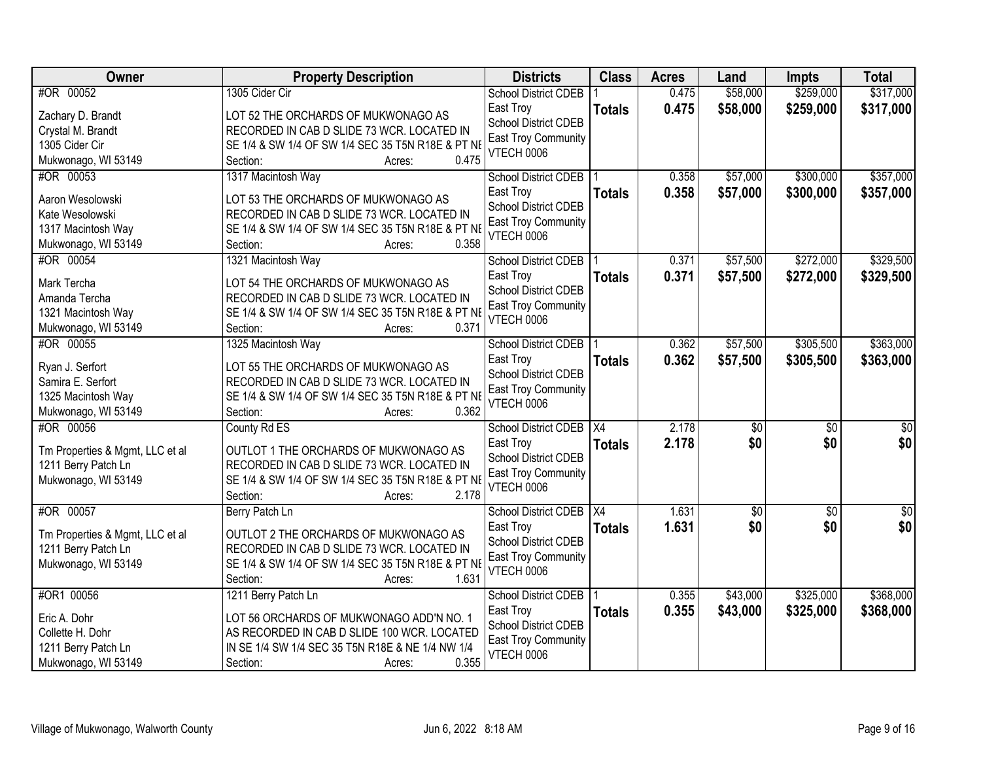| Owner                            | <b>Property Description</b>                                                                     | <b>Districts</b>                                | <b>Class</b>     | <b>Acres</b> | Land            | <b>Impts</b>    | <b>Total</b>    |
|----------------------------------|-------------------------------------------------------------------------------------------------|-------------------------------------------------|------------------|--------------|-----------------|-----------------|-----------------|
| #OR 00052                        | 1305 Cider Cir                                                                                  | <b>School District CDEB</b>                     |                  | 0.475        | \$58,000        | \$259,000       | \$317,000       |
| Zachary D. Brandt                | LOT 52 THE ORCHARDS OF MUKWONAGO AS                                                             | East Troy                                       | <b>Totals</b>    | 0.475        | \$58,000        | \$259,000       | \$317,000       |
| Crystal M. Brandt                | RECORDED IN CAB D SLIDE 73 WCR. LOCATED IN                                                      | <b>School District CDEB</b>                     |                  |              |                 |                 |                 |
| 1305 Cider Cir                   | SE 1/4 & SW 1/4 OF SW 1/4 SEC 35 T5N R18E & PT NE                                               | East Troy Community                             |                  |              |                 |                 |                 |
| Mukwonago, WI 53149              | 0.475<br>Section:<br>Acres:                                                                     | <b>VTECH 0006</b>                               |                  |              |                 |                 |                 |
| #OR 00053                        | 1317 Macintosh Way                                                                              | <b>School District CDEB</b>                     |                  | 0.358        | \$57,000        | \$300,000       | \$357,000       |
|                                  |                                                                                                 | East Troy                                       | <b>Totals</b>    | 0.358        | \$57,000        | \$300,000       | \$357,000       |
| Aaron Wesolowski                 | LOT 53 THE ORCHARDS OF MUKWONAGO AS                                                             | <b>School District CDEB</b>                     |                  |              |                 |                 |                 |
| Kate Wesolowski                  | RECORDED IN CAB D SLIDE 73 WCR. LOCATED IN                                                      | <b>East Troy Community</b>                      |                  |              |                 |                 |                 |
| 1317 Macintosh Way               | SE 1/4 & SW 1/4 OF SW 1/4 SEC 35 T5N R18E & PT NE<br>0.358                                      | <b>VTECH 0006</b>                               |                  |              |                 |                 |                 |
| Mukwonago, WI 53149              | Section:<br>Acres:                                                                              |                                                 |                  |              |                 |                 |                 |
| #OR 00054                        | 1321 Macintosh Way                                                                              | School District CDEB                            |                  | 0.371        | \$57,500        | \$272,000       | \$329,500       |
| Mark Tercha                      | LOT 54 THE ORCHARDS OF MUKWONAGO AS                                                             | East Troy                                       | <b>Totals</b>    | 0.371        | \$57,500        | \$272,000       | \$329,500       |
| Amanda Tercha                    | RECORDED IN CAB D SLIDE 73 WCR. LOCATED IN                                                      | School District CDEB                            |                  |              |                 |                 |                 |
| 1321 Macintosh Way               | SE 1/4 & SW 1/4 OF SW 1/4 SEC 35 T5N R18E & PT NE                                               | <b>East Troy Community</b><br><b>VTECH 0006</b> |                  |              |                 |                 |                 |
| Mukwonago, WI 53149              | 0.371<br>Section:<br>Acres:                                                                     |                                                 |                  |              |                 |                 |                 |
| #OR 00055                        | 1325 Macintosh Way                                                                              | <b>School District CDEB</b>                     |                  | 0.362        | \$57,500        | \$305,500       | \$363,000       |
|                                  |                                                                                                 | East Troy                                       | <b>Totals</b>    | 0.362        | \$57,500        | \$305,500       | \$363,000       |
| Ryan J. Serfort                  | LOT 55 THE ORCHARDS OF MUKWONAGO AS                                                             | <b>School District CDEB</b>                     |                  |              |                 |                 |                 |
| Samira E. Serfort                | RECORDED IN CAB D SLIDE 73 WCR. LOCATED IN<br>SE 1/4 & SW 1/4 OF SW 1/4 SEC 35 T5N R18E & PT NE | <b>East Troy Community</b>                      |                  |              |                 |                 |                 |
| 1325 Macintosh Way               | 0.362<br>Section:                                                                               | <b>VTECH 0006</b>                               |                  |              |                 |                 |                 |
| Mukwonago, WI 53149<br>#OR 00056 | Acres:                                                                                          |                                                 | $\overline{X4}$  | 2.178        | $\overline{50}$ | \$0             |                 |
|                                  | County Rd ES                                                                                    | <b>School District CDEB</b>                     |                  | 2.178        |                 |                 | \$0             |
| Tm Properties & Mgmt, LLC et al  | OUTLOT 1 THE ORCHARDS OF MUKWONAGO AS                                                           | East Troy<br><b>School District CDEB</b>        | <b>Totals</b>    |              | \$0             | \$0             | \$0             |
| 1211 Berry Patch Ln              | RECORDED IN CAB D SLIDE 73 WCR. LOCATED IN                                                      |                                                 |                  |              |                 |                 |                 |
| Mukwonago, WI 53149              | SE 1/4 & SW 1/4 OF SW 1/4 SEC 35 T5N R18E & PT NE                                               | East Troy Community<br>VTECH 0006               |                  |              |                 |                 |                 |
|                                  | 2.178<br>Section:<br>Acres:                                                                     |                                                 |                  |              |                 |                 |                 |
| #OR 00057                        | Berry Patch Ln                                                                                  | <b>School District CDEB</b>                     | $\overline{)X4}$ | 1.631        | $\sqrt{50}$     | $\overline{50}$ | $\overline{50}$ |
| Tm Properties & Mgmt, LLC et al  | OUTLOT 2 THE ORCHARDS OF MUKWONAGO AS                                                           | East Troy                                       | <b>Totals</b>    | 1.631        | \$0             | \$0             | \$0             |
| 1211 Berry Patch Ln              | RECORDED IN CAB D SLIDE 73 WCR. LOCATED IN                                                      | School District CDEB                            |                  |              |                 |                 |                 |
| Mukwonago, WI 53149              | SE 1/4 & SW 1/4 OF SW 1/4 SEC 35 T5N R18E & PT NE                                               | <b>East Troy Community</b>                      |                  |              |                 |                 |                 |
|                                  | 1.631<br>Section:<br>Acres:                                                                     | VTECH 0006                                      |                  |              |                 |                 |                 |
| #OR1 00056                       | 1211 Berry Patch Ln                                                                             | <b>School District CDEB</b>                     |                  | 0.355        | \$43,000        | \$325,000       | \$368,000       |
|                                  |                                                                                                 | East Troy                                       | <b>Totals</b>    | 0.355        | \$43,000        | \$325,000       | \$368,000       |
| Eric A. Dohr                     | LOT 56 ORCHARDS OF MUKWONAGO ADD'N NO. 1                                                        | School District CDEB                            |                  |              |                 |                 |                 |
| Collette H. Dohr                 | AS RECORDED IN CAB D SLIDE 100 WCR. LOCATED                                                     | <b>East Troy Community</b>                      |                  |              |                 |                 |                 |
| 1211 Berry Patch Ln              | IN SE 1/4 SW 1/4 SEC 35 T5N R18E & NE 1/4 NW 1/4                                                | <b>VTECH 0006</b>                               |                  |              |                 |                 |                 |
| Mukwonago, WI 53149              | 0.355<br>Section:<br>Acres:                                                                     |                                                 |                  |              |                 |                 |                 |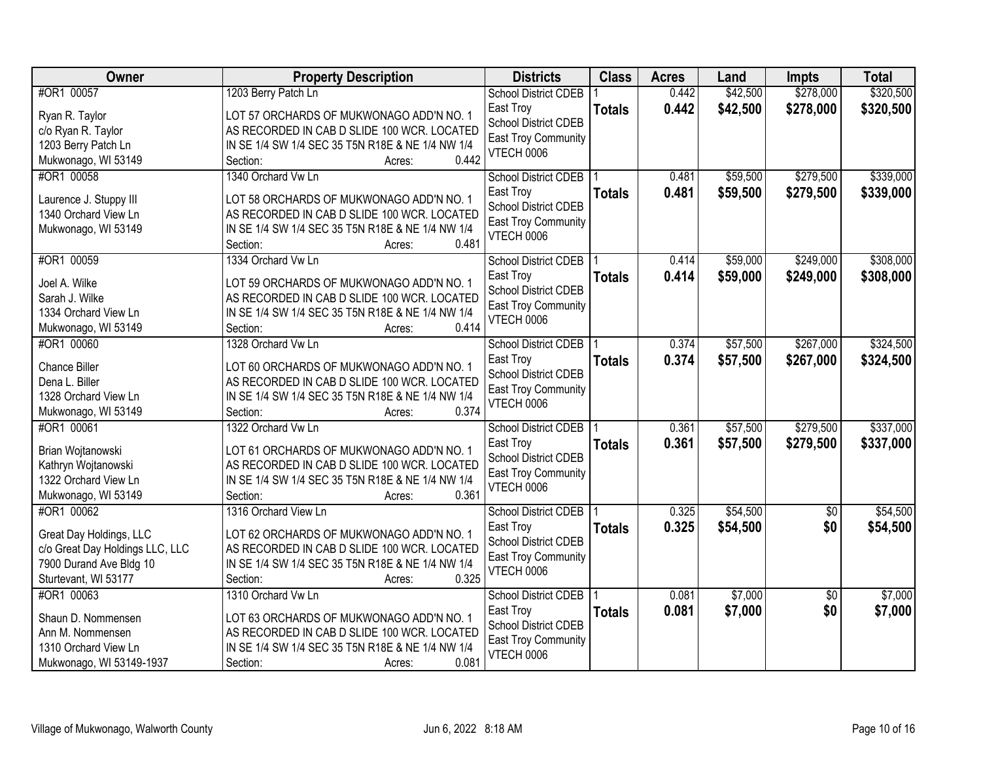| Owner                           | <b>Property Description</b>                                                                     | <b>Districts</b>                         | <b>Class</b>  | <b>Acres</b> | Land     | <b>Impts</b>    | <b>Total</b> |
|---------------------------------|-------------------------------------------------------------------------------------------------|------------------------------------------|---------------|--------------|----------|-----------------|--------------|
| #OR1 00057                      | 1203 Berry Patch Ln                                                                             | <b>School District CDEB</b>              |               | 0.442        | \$42,500 | \$278,000       | \$320,500    |
| Ryan R. Taylor                  | LOT 57 ORCHARDS OF MUKWONAGO ADD'N NO. 1                                                        | East Troy                                | <b>Totals</b> | 0.442        | \$42,500 | \$278,000       | \$320,500    |
| c/o Ryan R. Taylor              | AS RECORDED IN CAB D SLIDE 100 WCR. LOCATED                                                     | <b>School District CDEB</b>              |               |              |          |                 |              |
| 1203 Berry Patch Ln             | IN SE 1/4 SW 1/4 SEC 35 T5N R18E & NE 1/4 NW 1/4                                                | <b>East Troy Community</b>               |               |              |          |                 |              |
| Mukwonago, WI 53149             | 0.442<br>Section:<br>Acres:                                                                     | <b>VTECH 0006</b>                        |               |              |          |                 |              |
| #OR1 00058                      | 1340 Orchard Vw Ln                                                                              | <b>School District CDEB</b>              |               | 0.481        | \$59,500 | \$279,500       | \$339,000    |
| Laurence J. Stuppy III          | LOT 58 ORCHARDS OF MUKWONAGO ADD'N NO. 1                                                        | East Troy                                | <b>Totals</b> | 0.481        | \$59,500 | \$279,500       | \$339,000    |
| 1340 Orchard View Ln            | AS RECORDED IN CAB D SLIDE 100 WCR. LOCATED                                                     | <b>School District CDEB</b>              |               |              |          |                 |              |
| Mukwonago, WI 53149             | IN SE 1/4 SW 1/4 SEC 35 T5N R18E & NE 1/4 NW 1/4                                                | <b>East Troy Community</b>               |               |              |          |                 |              |
|                                 | 0.481<br>Section:<br>Acres:                                                                     | VTECH 0006                               |               |              |          |                 |              |
| #OR1 00059                      | 1334 Orchard Vw Ln                                                                              | <b>School District CDEB</b>              |               | 0.414        | \$59,000 | \$249,000       | \$308,000    |
|                                 |                                                                                                 | East Troy                                | <b>Totals</b> | 0.414        | \$59,000 | \$249,000       | \$308,000    |
| Joel A. Wilke<br>Sarah J. Wilke | LOT 59 ORCHARDS OF MUKWONAGO ADD'N NO. 1                                                        | <b>School District CDEB</b>              |               |              |          |                 |              |
| 1334 Orchard View Ln            | AS RECORDED IN CAB D SLIDE 100 WCR. LOCATED<br>IN SE 1/4 SW 1/4 SEC 35 T5N R18E & NE 1/4 NW 1/4 | East Troy Community                      |               |              |          |                 |              |
| Mukwonago, WI 53149             | 0.414<br>Section:<br>Acres:                                                                     | <b>VTECH 0006</b>                        |               |              |          |                 |              |
| #OR1 00060                      | 1328 Orchard Vw Ln                                                                              | School District CDEB                     |               | 0.374        | \$57,500 | \$267,000       | \$324,500    |
|                                 |                                                                                                 | East Troy                                | <b>Totals</b> | 0.374        | \$57,500 | \$267,000       | \$324,500    |
| Chance Biller                   | LOT 60 ORCHARDS OF MUKWONAGO ADD'N NO. 1                                                        | <b>School District CDEB</b>              |               |              |          |                 |              |
| Dena L. Biller                  | AS RECORDED IN CAB D SLIDE 100 WCR. LOCATED                                                     | East Troy Community                      |               |              |          |                 |              |
| 1328 Orchard View Ln            | IN SE 1/4 SW 1/4 SEC 35 T5N R18E & NE 1/4 NW 1/4                                                | <b>VTECH 0006</b>                        |               |              |          |                 |              |
| Mukwonago, WI 53149             | 0.374<br>Section:<br>Acres:                                                                     |                                          |               |              |          |                 |              |
| #OR1 00061                      | 1322 Orchard Vw Ln                                                                              | <b>School District CDEB</b>              |               | 0.361        | \$57,500 | \$279,500       | \$337,000    |
| Brian Wojtanowski               | LOT 61 ORCHARDS OF MUKWONAGO ADD'N NO. 1                                                        | East Troy                                | <b>Totals</b> | 0.361        | \$57,500 | \$279,500       | \$337,000    |
| Kathryn Wojtanowski             | AS RECORDED IN CAB D SLIDE 100 WCR. LOCATED                                                     | School District CDEB                     |               |              |          |                 |              |
| 1322 Orchard View Ln            | IN SE 1/4 SW 1/4 SEC 35 T5N R18E & NE 1/4 NW 1/4                                                | <b>East Troy Community</b><br>VTECH 0006 |               |              |          |                 |              |
| Mukwonago, WI 53149             | 0.361<br>Section:<br>Acres:                                                                     |                                          |               |              |          |                 |              |
| #OR1 00062                      | 1316 Orchard View Ln                                                                            | <b>School District CDEB</b>              |               | 0.325        | \$54,500 | $\overline{50}$ | \$54,500     |
| Great Day Holdings, LLC         | LOT 62 ORCHARDS OF MUKWONAGO ADD'N NO. 1                                                        | East Troy                                | <b>Totals</b> | 0.325        | \$54,500 | \$0             | \$54,500     |
| c/o Great Day Holdings LLC, LLC | AS RECORDED IN CAB D SLIDE 100 WCR. LOCATED                                                     | <b>School District CDEB</b>              |               |              |          |                 |              |
| 7900 Durand Ave Bldg 10         | IN SE 1/4 SW 1/4 SEC 35 T5N R18E & NE 1/4 NW 1/4                                                | <b>East Troy Community</b>               |               |              |          |                 |              |
| Sturtevant, WI 53177            | 0.325<br>Section:<br>Acres:                                                                     | VTECH 0006                               |               |              |          |                 |              |
| #OR1 00063                      | 1310 Orchard Vw Ln                                                                              | <b>School District CDEB</b>              |               | 0.081        | \$7,000  | $\overline{30}$ | \$7,000      |
| Shaun D. Nommensen              | LOT 63 ORCHARDS OF MUKWONAGO ADD'N NO. 1                                                        | East Troy                                | <b>Totals</b> | 0.081        | \$7,000  | \$0             | \$7,000      |
| Ann M. Nommensen                | AS RECORDED IN CAB D SLIDE 100 WCR. LOCATED                                                     | School District CDEB                     |               |              |          |                 |              |
| 1310 Orchard View Ln            | IN SE 1/4 SW 1/4 SEC 35 T5N R18E & NE 1/4 NW 1/4                                                | <b>East Troy Community</b>               |               |              |          |                 |              |
| Mukwonago, WI 53149-1937        | 0.081<br>Section:<br>Acres:                                                                     | <b>VTECH 0006</b>                        |               |              |          |                 |              |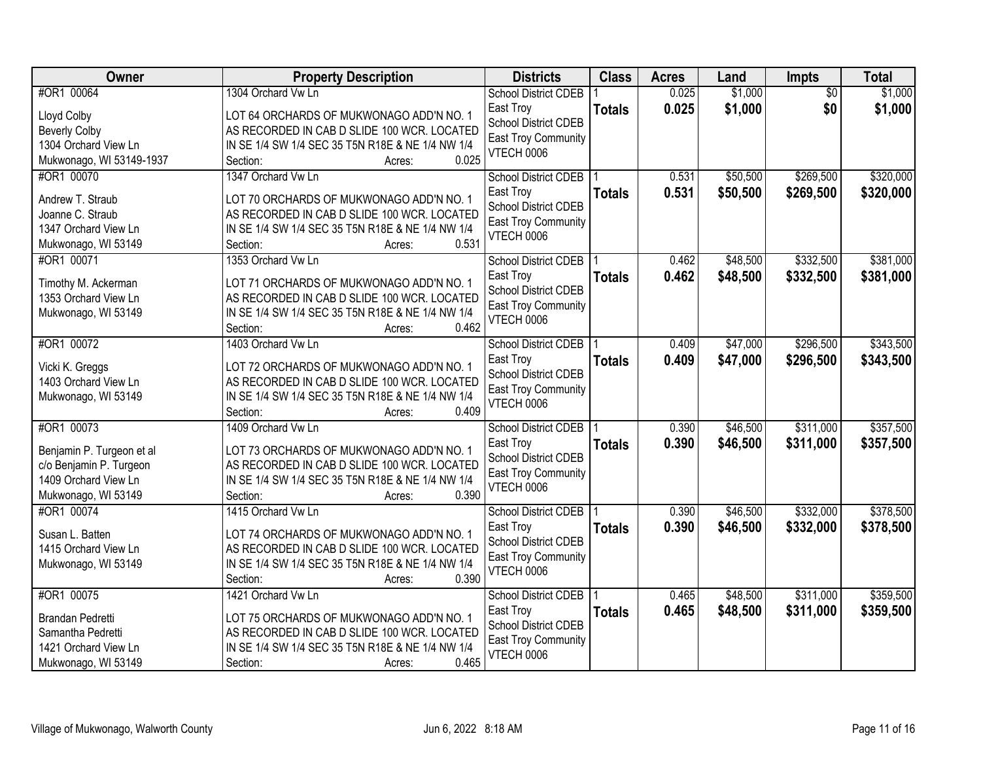| Owner                                       | <b>Property Description</b>                                                             | <b>Districts</b>                         | <b>Class</b>  | <b>Acres</b> | Land     | <b>Impts</b>    | <b>Total</b> |
|---------------------------------------------|-----------------------------------------------------------------------------------------|------------------------------------------|---------------|--------------|----------|-----------------|--------------|
| #OR1 00064                                  | 1304 Orchard Vw Ln                                                                      | <b>School District CDEB</b>              |               | 0.025        | \$1,000  | $\overline{50}$ | \$1,000      |
| Lloyd Colby                                 | LOT 64 ORCHARDS OF MUKWONAGO ADD'N NO. 1                                                | East Troy                                | <b>Totals</b> | 0.025        | \$1,000  | \$0             | \$1,000      |
| <b>Beverly Colby</b>                        | AS RECORDED IN CAB D SLIDE 100 WCR. LOCATED                                             | <b>School District CDEB</b>              |               |              |          |                 |              |
| 1304 Orchard View Ln                        | IN SE 1/4 SW 1/4 SEC 35 T5N R18E & NE 1/4 NW 1/4                                        | <b>East Troy Community</b>               |               |              |          |                 |              |
| Mukwonago, WI 53149-1937                    | 0.025<br>Section:<br>Acres:                                                             | VTECH 0006                               |               |              |          |                 |              |
| #OR1 00070                                  | 1347 Orchard Vw Ln                                                                      | <b>School District CDEB</b>              |               | 0.531        | \$50,500 | \$269,500       | \$320,000    |
| Andrew T. Straub                            | LOT 70 ORCHARDS OF MUKWONAGO ADD'N NO. 1                                                | East Troy                                | <b>Totals</b> | 0.531        | \$50,500 | \$269,500       | \$320,000    |
| Joanne C. Straub                            | AS RECORDED IN CAB D SLIDE 100 WCR. LOCATED                                             | <b>School District CDEB</b>              |               |              |          |                 |              |
| 1347 Orchard View Ln                        | IN SE 1/4 SW 1/4 SEC 35 T5N R18E & NE 1/4 NW 1/4                                        | <b>East Troy Community</b>               |               |              |          |                 |              |
| Mukwonago, WI 53149                         | 0.531<br>Section:<br>Acres:                                                             | VTECH 0006                               |               |              |          |                 |              |
| #OR1 00071                                  | 1353 Orchard Vw Ln                                                                      | <b>School District CDEB</b>              |               | 0.462        | \$48,500 | \$332,500       | \$381,000    |
|                                             |                                                                                         | East Troy                                | <b>Totals</b> | 0.462        | \$48,500 | \$332,500       | \$381,000    |
| Timothy M. Ackerman<br>1353 Orchard View Ln | LOT 71 ORCHARDS OF MUKWONAGO ADD'N NO. 1<br>AS RECORDED IN CAB D SLIDE 100 WCR. LOCATED | <b>School District CDEB</b>              |               |              |          |                 |              |
| Mukwonago, WI 53149                         | IN SE 1/4 SW 1/4 SEC 35 T5N R18E & NE 1/4 NW 1/4                                        | East Troy Community                      |               |              |          |                 |              |
|                                             | 0.462<br>Section:<br>Acres:                                                             | VTECH 0006                               |               |              |          |                 |              |
| #OR1 00072                                  | 1403 Orchard Vw Ln                                                                      | School District CDEB                     |               | 0.409        | \$47,000 | \$296,500       | \$343,500    |
|                                             |                                                                                         | East Troy                                | <b>Totals</b> | 0.409        | \$47,000 | \$296,500       | \$343,500    |
| Vicki K. Greggs                             | LOT 72 ORCHARDS OF MUKWONAGO ADD'N NO. 1                                                | <b>School District CDEB</b>              |               |              |          |                 |              |
| 1403 Orchard View Ln                        | AS RECORDED IN CAB D SLIDE 100 WCR. LOCATED                                             | East Troy Community                      |               |              |          |                 |              |
| Mukwonago, WI 53149                         | IN SE 1/4 SW 1/4 SEC 35 T5N R18E & NE 1/4 NW 1/4<br>0.409                               | VTECH 0006                               |               |              |          |                 |              |
| #OR1 00073                                  | Section:<br>Acres:<br>1409 Orchard Vw Ln                                                |                                          |               | 0.390        | \$46,500 | \$311,000       | \$357,500    |
|                                             |                                                                                         | <b>School District CDEB</b><br>East Troy |               | 0.390        |          | \$311,000       |              |
| Benjamin P. Turgeon et al                   | LOT 73 ORCHARDS OF MUKWONAGO ADD'N NO. 1                                                | <b>School District CDEB</b>              | <b>Totals</b> |              | \$46,500 |                 | \$357,500    |
| c/o Benjamin P. Turgeon                     | AS RECORDED IN CAB D SLIDE 100 WCR. LOCATED                                             | <b>East Troy Community</b>               |               |              |          |                 |              |
| 1409 Orchard View Ln                        | IN SE 1/4 SW 1/4 SEC 35 T5N R18E & NE 1/4 NW 1/4                                        | VTECH 0006                               |               |              |          |                 |              |
| Mukwonago, WI 53149                         | 0.390<br>Section:<br>Acres:                                                             |                                          |               |              |          |                 |              |
| #OR1 00074                                  | 1415 Orchard Vw Ln                                                                      | School District CDEB                     |               | 0.390        | \$46,500 | \$332,000       | \$378,500    |
| Susan L. Batten                             | LOT 74 ORCHARDS OF MUKWONAGO ADD'N NO. 1                                                | East Troy                                | <b>Totals</b> | 0.390        | \$46,500 | \$332,000       | \$378,500    |
| 1415 Orchard View Ln                        | AS RECORDED IN CAB D SLIDE 100 WCR. LOCATED                                             | <b>School District CDEB</b>              |               |              |          |                 |              |
| Mukwonago, WI 53149                         | IN SE 1/4 SW 1/4 SEC 35 T5N R18E & NE 1/4 NW 1/4                                        | <b>East Troy Community</b><br>VTECH 0006 |               |              |          |                 |              |
|                                             | 0.390<br>Section:<br>Acres:                                                             |                                          |               |              |          |                 |              |
| #OR1 00075                                  | 1421 Orchard Vw Ln                                                                      | <b>School District CDEB</b>              |               | 0.465        | \$48,500 | \$311,000       | \$359,500    |
| Brandan Pedretti                            | LOT 75 ORCHARDS OF MUKWONAGO ADD'N NO. 1                                                | East Troy                                | <b>Totals</b> | 0.465        | \$48,500 | \$311,000       | \$359,500    |
| Samantha Pedretti                           | AS RECORDED IN CAB D SLIDE 100 WCR. LOCATED                                             | School District CDEB                     |               |              |          |                 |              |
| 1421 Orchard View Ln                        | IN SE 1/4 SW 1/4 SEC 35 T5N R18E & NE 1/4 NW 1/4                                        | <b>East Troy Community</b>               |               |              |          |                 |              |
| Mukwonago, WI 53149                         | 0.465<br>Section:<br>Acres:                                                             | VTECH 0006                               |               |              |          |                 |              |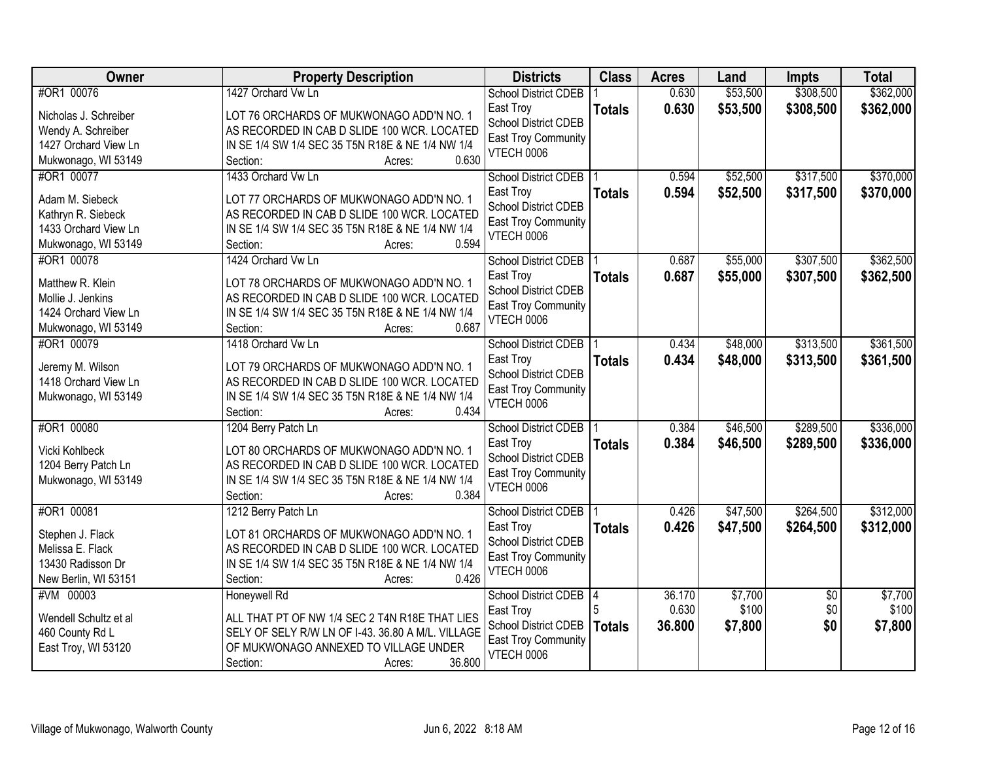| <b>Owner</b>          | <b>Property Description</b>                       | <b>Districts</b>                         | <b>Class</b>  | <b>Acres</b> | Land     | <b>Impts</b>    | <b>Total</b> |
|-----------------------|---------------------------------------------------|------------------------------------------|---------------|--------------|----------|-----------------|--------------|
| #OR1 00076            | 1427 Orchard Vw Ln                                | School District CDEB                     |               | 0.630        | \$53,500 | \$308,500       | \$362,000    |
| Nicholas J. Schreiber | LOT 76 ORCHARDS OF MUKWONAGO ADD'N NO. 1          | East Troy                                | <b>Totals</b> | 0.630        | \$53,500 | \$308,500       | \$362,000    |
| Wendy A. Schreiber    | AS RECORDED IN CAB D SLIDE 100 WCR. LOCATED       | <b>School District CDEB</b>              |               |              |          |                 |              |
| 1427 Orchard View Ln  | IN SE 1/4 SW 1/4 SEC 35 T5N R18E & NE 1/4 NW 1/4  | <b>East Troy Community</b>               |               |              |          |                 |              |
| Mukwonago, WI 53149   | 0.630<br>Section:<br>Acres:                       | <b>VTECH 0006</b>                        |               |              |          |                 |              |
| #OR1 00077            | 1433 Orchard Vw Ln                                | School District CDEB                     |               | 0.594        | \$52,500 | \$317,500       | \$370,000    |
| Adam M. Siebeck       | LOT 77 ORCHARDS OF MUKWONAGO ADD'N NO. 1          | East Troy                                | <b>Totals</b> | 0.594        | \$52,500 | \$317,500       | \$370,000    |
| Kathryn R. Siebeck    | AS RECORDED IN CAB D SLIDE 100 WCR. LOCATED       | <b>School District CDEB</b>              |               |              |          |                 |              |
| 1433 Orchard View Ln  | IN SE 1/4 SW 1/4 SEC 35 T5N R18E & NE 1/4 NW 1/4  | <b>East Troy Community</b>               |               |              |          |                 |              |
| Mukwonago, WI 53149   | 0.594<br>Section:<br>Acres:                       | <b>VTECH 0006</b>                        |               |              |          |                 |              |
| #OR1 00078            | 1424 Orchard Vw Ln                                | <b>School District CDEB</b>              |               | 0.687        | \$55,000 | \$307,500       | \$362,500    |
|                       |                                                   | East Troy                                | <b>Totals</b> | 0.687        | \$55,000 | \$307,500       | \$362,500    |
| Matthew R. Klein      | LOT 78 ORCHARDS OF MUKWONAGO ADD'N NO. 1          | <b>School District CDEB</b>              |               |              |          |                 |              |
| Mollie J. Jenkins     | AS RECORDED IN CAB D SLIDE 100 WCR. LOCATED       | <b>East Troy Community</b>               |               |              |          |                 |              |
| 1424 Orchard View Ln  | IN SE 1/4 SW 1/4 SEC 35 T5N R18E & NE 1/4 NW 1/4  | <b>VTECH 0006</b>                        |               |              |          |                 |              |
| Mukwonago, WI 53149   | 0.687<br>Section:<br>Acres:                       |                                          |               |              |          |                 |              |
| #OR1 00079            | 1418 Orchard Vw Ln                                | <b>School District CDEB</b>              |               | 0.434        | \$48,000 | \$313,500       | \$361,500    |
| Jeremy M. Wilson      | LOT 79 ORCHARDS OF MUKWONAGO ADD'N NO. 1          | East Troy                                | <b>Totals</b> | 0.434        | \$48,000 | \$313,500       | \$361,500    |
| 1418 Orchard View Ln  | AS RECORDED IN CAB D SLIDE 100 WCR. LOCATED       | <b>School District CDEB</b>              |               |              |          |                 |              |
| Mukwonago, WI 53149   | IN SE 1/4 SW 1/4 SEC 35 T5N R18E & NE 1/4 NW 1/4  | East Troy Community<br><b>VTECH 0006</b> |               |              |          |                 |              |
|                       | 0.434<br>Section:<br>Acres:                       |                                          |               |              |          |                 |              |
| #OR1 00080            | 1204 Berry Patch Ln                               | <b>School District CDEB</b>              |               | 0.384        | \$46,500 | \$289,500       | \$336,000    |
| Vicki Kohlbeck        | LOT 80 ORCHARDS OF MUKWONAGO ADD'N NO. 1          | East Troy                                | <b>Totals</b> | 0.384        | \$46,500 | \$289,500       | \$336,000    |
| 1204 Berry Patch Ln   | AS RECORDED IN CAB D SLIDE 100 WCR. LOCATED       | <b>School District CDEB</b>              |               |              |          |                 |              |
| Mukwonago, WI 53149   | IN SE 1/4 SW 1/4 SEC 35 T5N R18E & NE 1/4 NW 1/4  | <b>East Troy Community</b>               |               |              |          |                 |              |
|                       | 0.384<br>Section:<br>Acres:                       | <b>VTECH 0006</b>                        |               |              |          |                 |              |
| #OR1 00081            | 1212 Berry Patch Ln                               | <b>School District CDEB</b>              |               | 0.426        | \$47,500 | \$264,500       | \$312,000    |
| Stephen J. Flack      | LOT 81 ORCHARDS OF MUKWONAGO ADD'N NO. 1          | East Troy                                | <b>Totals</b> | 0.426        | \$47,500 | \$264,500       | \$312,000    |
| Melissa E. Flack      | AS RECORDED IN CAB D SLIDE 100 WCR. LOCATED       | <b>School District CDEB</b>              |               |              |          |                 |              |
| 13430 Radisson Dr     | IN SE 1/4 SW 1/4 SEC 35 T5N R18E & NE 1/4 NW 1/4  | East Troy Community                      |               |              |          |                 |              |
| New Berlin, WI 53151  | 0.426<br>Section:<br>Acres:                       | <b>VTECH 0006</b>                        |               |              |          |                 |              |
| #VM 00003             | <b>Honeywell Rd</b>                               | <b>School District CDEB</b>              | 14            | 36.170       | \$7,700  | $\overline{50}$ | \$7,700      |
|                       |                                                   | East Troy                                |               | 0.630        | \$100    | \$0             | \$100        |
| Wendell Schultz et al | ALL THAT PT OF NW 1/4 SEC 2 T4N R18E THAT LIES    | <b>School District CDEB</b>              | <b>Totals</b> | 36.800       | \$7,800  | \$0             | \$7,800      |
| 460 County Rd L       | SELY OF SELY R/W LN OF I-43. 36.80 A M/L. VILLAGE | <b>East Troy Community</b>               |               |              |          |                 |              |
| East Troy, WI 53120   | OF MUKWONAGO ANNEXED TO VILLAGE UNDER<br>36.800   | <b>VTECH 0006</b>                        |               |              |          |                 |              |
|                       | Section:<br>Acres:                                |                                          |               |              |          |                 |              |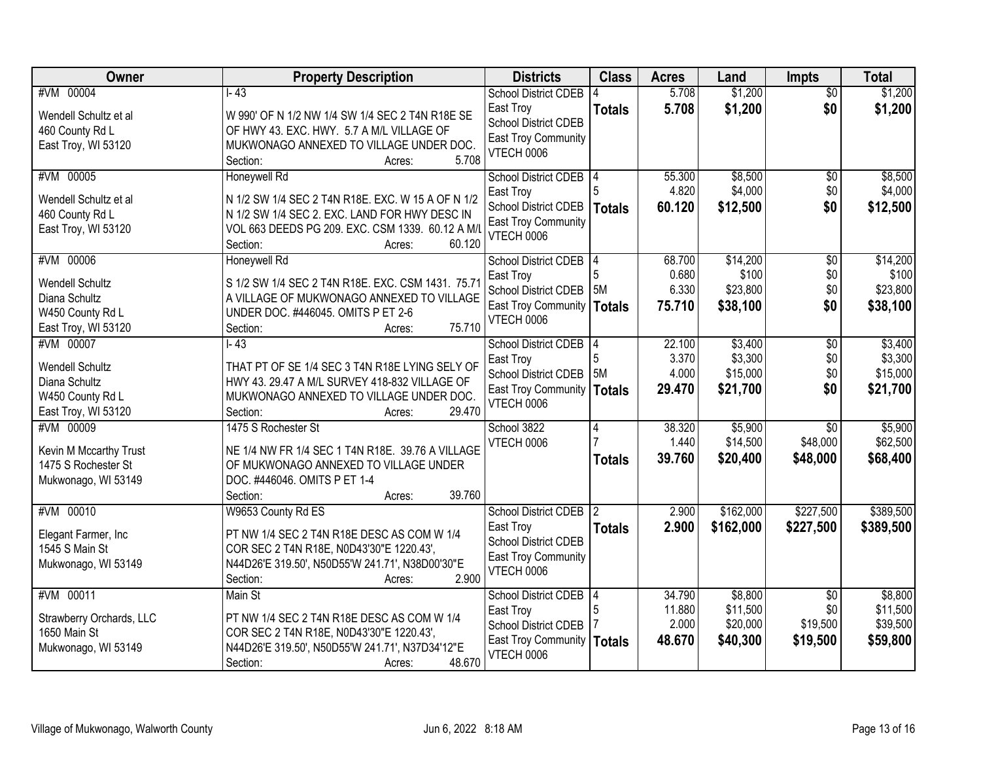| Owner                                                            | <b>Property Description</b>                                                                                                                                                            | <b>Districts</b>                                                              | <b>Class</b>        | <b>Acres</b>    | Land                   | <b>Impts</b>           | <b>Total</b>           |
|------------------------------------------------------------------|----------------------------------------------------------------------------------------------------------------------------------------------------------------------------------------|-------------------------------------------------------------------------------|---------------------|-----------------|------------------------|------------------------|------------------------|
| #VM 00004<br>Wendell Schultz et al                               | $1 - 43$<br>W 990' OF N 1/2 NW 1/4 SW 1/4 SEC 2 T4N R18E SE                                                                                                                            | <b>School District CDEB</b><br>East Troy<br>School District CDEB              | <b>Totals</b>       | 5.708<br>5.708  | \$1,200<br>\$1,200     | $\overline{30}$<br>\$0 | \$1,200<br>\$1,200     |
| 460 County Rd L<br>East Troy, WI 53120                           | OF HWY 43. EXC. HWY. 5.7 A M/L VILLAGE OF<br>MUKWONAGO ANNEXED TO VILLAGE UNDER DOC.<br>5.708<br>Section:<br>Acres:                                                                    | East Troy Community<br><b>VTECH 0006</b>                                      |                     |                 |                        |                        |                        |
| #VM 00005                                                        | Honeywell Rd                                                                                                                                                                           | <b>School District CDEB</b>                                                   |                     | 55.300          | \$8,500                | $\overline{50}$        | \$8,500                |
| Wendell Schultz et al.<br>460 County Rd L<br>East Troy, WI 53120 | N 1/2 SW 1/4 SEC 2 T4N R18E. EXC. W 15 A OF N 1/2<br>N 1/2 SW 1/4 SEC 2. EXC. LAND FOR HWY DESC IN<br>VOL 663 DEEDS PG 209. EXC. CSM 1339. 60.12 A M/L<br>60.120<br>Section:<br>Acres: | East Troy<br>School District CDEB<br><b>East Troy Community</b><br>VTECH 0006 | Totals              | 4.820<br>60.120 | \$4,000<br>\$12,500    | \$0<br>\$0             | \$4,000<br>\$12,500    |
| #VM 00006                                                        | Honeywell Rd                                                                                                                                                                           | <b>School District CDEB</b>                                                   | 14                  | 68.700          | \$14,200               | $\overline{50}$        | \$14,200               |
| <b>Wendell Schultz</b>                                           | S 1/2 SW 1/4 SEC 2 T4N R18E. EXC. CSM 1431. 75.71                                                                                                                                      | East Troy<br><b>School District CDEB</b>                                      | 5M                  | 0.680<br>6.330  | \$100<br>\$23,800      | \$0<br>\$0             | \$100<br>\$23,800      |
| Diana Schultz                                                    | A VILLAGE OF MUKWONAGO ANNEXED TO VILLAGE                                                                                                                                              | <b>East Troy Community</b>                                                    | <b>Totals</b>       | 75.710          | \$38,100               | \$0                    | \$38,100               |
| W450 County Rd L<br>East Troy, WI 53120                          | UNDER DOC. #446045. OMITS P ET 2-6<br>75.710<br>Section:<br>Acres:                                                                                                                     | <b>VTECH 0006</b>                                                             |                     |                 |                        |                        |                        |
| #VM 00007                                                        | $\overline{1-43}$                                                                                                                                                                      | <b>School District CDEB</b>                                                   |                     | 22.100          | \$3,400                | \$0                    | \$3,400                |
|                                                                  |                                                                                                                                                                                        | East Troy                                                                     | 5                   | 3.370           | \$3,300                | \$0                    | \$3,300                |
| <b>Wendell Schultz</b><br>Diana Schultz                          | THAT PT OF SE 1/4 SEC 3 T4N R18E LYING SELY OF<br>HWY 43. 29.47 A M/L SURVEY 418-832 VILLAGE OF                                                                                        | School District CDEB                                                          | <b>5M</b>           | 4.000           | \$15,000               | \$0                    | \$15,000               |
| W450 County Rd L                                                 | MUKWONAGO ANNEXED TO VILLAGE UNDER DOC.                                                                                                                                                | East Troy Community   Totals                                                  |                     | 29.470          | \$21,700               | \$0                    | \$21,700               |
| East Troy, WI 53120                                              | 29.470<br>Section:<br>Acres:                                                                                                                                                           | <b>VTECH 0006</b>                                                             |                     |                 |                        |                        |                        |
| #VM 00009                                                        | 1475 S Rochester St                                                                                                                                                                    | School 3822                                                                   | 4                   | 38.320          | \$5,900                | $\overline{30}$        | \$5,900                |
| Kevin M Mccarthy Trust                                           | NE 1/4 NW FR 1/4 SEC 1 T4N R18E. 39.76 A VILLAGE                                                                                                                                       | VTECH 0006                                                                    |                     | 1.440           | \$14,500               | \$48,000               | \$62,500               |
| 1475 S Rochester St                                              | OF MUKWONAGO ANNEXED TO VILLAGE UNDER                                                                                                                                                  |                                                                               | <b>Totals</b>       | 39.760          | \$20,400               | \$48,000               | \$68,400               |
| Mukwonago, WI 53149                                              | DOC. #446046. OMITS P ET 1-4                                                                                                                                                           |                                                                               |                     |                 |                        |                        |                        |
|                                                                  | 39.760<br>Section:<br>Acres:                                                                                                                                                           |                                                                               |                     |                 |                        |                        |                        |
| #VM 00010                                                        | W9653 County Rd ES                                                                                                                                                                     | <b>School District CDEB</b><br>East Troy                                      | 12<br><b>Totals</b> | 2.900<br>2.900  | \$162,000<br>\$162,000 | \$227,500<br>\$227,500 | \$389,500<br>\$389,500 |
| Elegant Farmer, Inc                                              | PT NW 1/4 SEC 2 T4N R18E DESC AS COM W 1/4                                                                                                                                             | School District CDEB                                                          |                     |                 |                        |                        |                        |
| 1545 S Main St                                                   | COR SEC 2 T4N R18E, N0D43'30"E 1220.43',                                                                                                                                               | East Troy Community                                                           |                     |                 |                        |                        |                        |
| Mukwonago, WI 53149                                              | N44D26'E 319.50', N50D55'W 241.71', N38D00'30"E<br>2.900<br>Section:<br>Acres:                                                                                                         | <b>VTECH 0006</b>                                                             |                     |                 |                        |                        |                        |
| #VM 00011                                                        | Main St                                                                                                                                                                                | <b>School District CDEB</b>                                                   | 14                  | 34.790          | \$8,800                | $\overline{30}$        | \$8,800                |
| Strawberry Orchards, LLC                                         | PT NW 1/4 SEC 2 T4N R18E DESC AS COM W 1/4                                                                                                                                             | East Troy                                                                     | 5                   | 11.880          | \$11,500               | \$0                    | \$11,500               |
| 1650 Main St                                                     | COR SEC 2 T4N R18E, N0D43'30"E 1220.43',                                                                                                                                               | School District CDEB                                                          |                     | 2.000           | \$20,000               | \$19,500               | \$39,500               |
| Mukwonago, WI 53149                                              | N44D26'E 319.50', N50D55'W 241.71', N37D34'12"E<br>48.670<br>Section:<br>Acres:                                                                                                        | East Troy Community   Totals<br><b>VTECH 0006</b>                             |                     | 48.670          | \$40,300               | \$19,500               | \$59,800               |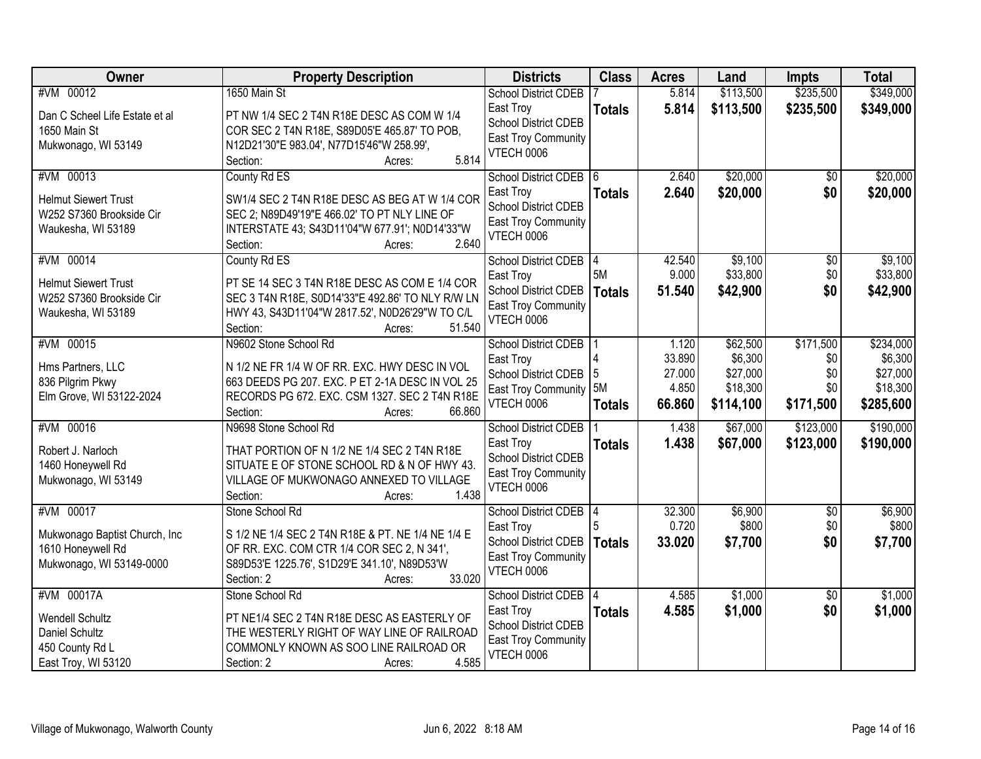| Owner                          | <b>Property Description</b>                       | <b>Districts</b>                            | <b>Class</b>  | <b>Acres</b> | Land      | <b>Impts</b>    | <b>Total</b> |
|--------------------------------|---------------------------------------------------|---------------------------------------------|---------------|--------------|-----------|-----------------|--------------|
| #VM 00012                      | 1650 Main St                                      | <b>School District CDEB</b>                 |               | 5.814        | \$113,500 | \$235,500       | \$349,000    |
| Dan C Scheel Life Estate et al | PT NW 1/4 SEC 2 T4N R18E DESC AS COM W 1/4        | East Troy                                   | <b>Totals</b> | 5.814        | \$113,500 | \$235,500       | \$349,000    |
| 1650 Main St                   | COR SEC 2 T4N R18E, S89D05'E 465.87' TO POB,      | <b>School District CDEB</b>                 |               |              |           |                 |              |
| Mukwonago, WI 53149            | N12D21'30"E 983.04', N77D15'46"W 258.99',         | East Troy Community<br>VTECH 0006           |               |              |           |                 |              |
|                                | 5.814<br>Section:<br>Acres:                       |                                             |               |              |           |                 |              |
| #VM 00013                      | County Rd ES                                      | <b>School District CDEB</b>                 | 16.           | 2.640        | \$20,000  | \$0             | \$20,000     |
| <b>Helmut Siewert Trust</b>    | SW1/4 SEC 2 T4N R18E DESC AS BEG AT W 1/4 COR     | East Troy                                   | <b>Totals</b> | 2.640        | \$20,000  | \$0             | \$20,000     |
| W252 S7360 Brookside Cir       | SEC 2; N89D49'19"E 466.02' TO PT NLY LINE OF      | <b>School District CDEB</b>                 |               |              |           |                 |              |
| Waukesha, WI 53189             | INTERSTATE 43; S43D11'04"W 677.91'; N0D14'33"W    | East Troy Community<br>VTECH 0006           |               |              |           |                 |              |
|                                | 2.640<br>Section:<br>Acres:                       |                                             |               |              |           |                 |              |
| #VM 00014                      | County Rd ES                                      | <b>School District CDEB</b>                 | 14            | 42.540       | \$9,100   | $\overline{50}$ | \$9,100      |
| <b>Helmut Siewert Trust</b>    | PT SE 14 SEC 3 T4N R18E DESC AS COM E 1/4 COR     | East Troy                                   | 5M            | 9.000        | \$33,800  | \$0             | \$33,800     |
| W252 S7360 Brookside Cir       | SEC 3 T4N R18E, S0D14'33"E 492.86' TO NLY R/W LN  | School District CDEB                        | <b>Totals</b> | 51.540       | \$42,900  | \$0             | \$42,900     |
| Waukesha, WI 53189             | HWY 43, S43D11'04"W 2817.52', N0D26'29"W TO C/L   | <b>East Troy Community</b><br>VTECH 0006    |               |              |           |                 |              |
|                                | 51.540<br>Section:<br>Acres:                      |                                             |               |              |           |                 |              |
| #VM 00015                      | N9602 Stone School Rd                             | School District CDEB                        |               | 1.120        | \$62,500  | \$171,500       | \$234,000    |
| Hms Partners, LLC              | N 1/2 NE FR 1/4 W OF RR. EXC. HWY DESC IN VOL     | East Troy                                   |               | 33.890       | \$6,300   | \$0             | \$6,300      |
| 836 Pilgrim Pkwy               | 663 DEEDS PG 207. EXC. P ET 2-1A DESC IN VOL 25   | School District CDEB                        | 15            | 27.000       | \$27,000  | \$0             | \$27,000     |
| Elm Grove, WI 53122-2024       | RECORDS PG 672. EXC. CSM 1327. SEC 2 T4N R18E     | East Troy Community 5M<br><b>VTECH 0006</b> |               | 4.850        | \$18,300  | \$0             | \$18,300     |
|                                | 66.860<br>Section:<br>Acres:                      |                                             | <b>Totals</b> | 66.860       | \$114,100 | \$171,500       | \$285,600    |
| #VM 00016                      | N9698 Stone School Rd                             | <b>School District CDEB</b>                 |               | 1.438        | \$67,000  | \$123,000       | \$190,000    |
| Robert J. Narloch              | THAT PORTION OF N 1/2 NE 1/4 SEC 2 T4N R18E       | East Troy                                   | <b>Totals</b> | 1.438        | \$67,000  | \$123,000       | \$190,000    |
| 1460 Honeywell Rd              | SITUATE E OF STONE SCHOOL RD & N OF HWY 43.       | <b>School District CDEB</b>                 |               |              |           |                 |              |
| Mukwonago, WI 53149            | VILLAGE OF MUKWONAGO ANNEXED TO VILLAGE           | East Troy Community                         |               |              |           |                 |              |
|                                | 1.438<br>Section:<br>Acres:                       | VTECH 0006                                  |               |              |           |                 |              |
| #VM 00017                      | Stone School Rd                                   | <b>School District CDEB</b>                 | 14            | 32.300       | \$6,900   | $\overline{50}$ | \$6,900      |
| Mukwonago Baptist Church, Inc  | S 1/2 NE 1/4 SEC 2 T4N R18E & PT. NE 1/4 NE 1/4 E | East Troy                                   |               | 0.720        | \$800     | \$0             | \$800        |
| 1610 Honeywell Rd              | OF RR. EXC. COM CTR 1/4 COR SEC 2, N 341',        | School District CDEB                        | <b>Totals</b> | 33.020       | \$7,700   | \$0             | \$7,700      |
| Mukwonago, WI 53149-0000       | S89D53'E 1225.76', S1D29'E 341.10', N89D53'W      | East Troy Community                         |               |              |           |                 |              |
|                                | 33.020<br>Section: 2<br>Acres:                    | VTECH 0006                                  |               |              |           |                 |              |
| #VM 00017A                     | Stone School Rd                                   | <b>School District CDEB</b>                 | 14            | 4.585        | \$1,000   | $\overline{30}$ | \$1,000      |
| Wendell Schultz                | PT NE1/4 SEC 2 T4N R18E DESC AS EASTERLY OF       | East Troy                                   | <b>Totals</b> | 4.585        | \$1,000   | \$0             | \$1,000      |
| Daniel Schultz                 | THE WESTERLY RIGHT OF WAY LINE OF RAILROAD        | <b>School District CDEB</b>                 |               |              |           |                 |              |
| 450 County Rd L                | COMMONLY KNOWN AS SOO LINE RAILROAD OR            | East Troy Community                         |               |              |           |                 |              |
| East Troy, WI 53120            | 4.585<br>Section: 2<br>Acres:                     | VTECH 0006                                  |               |              |           |                 |              |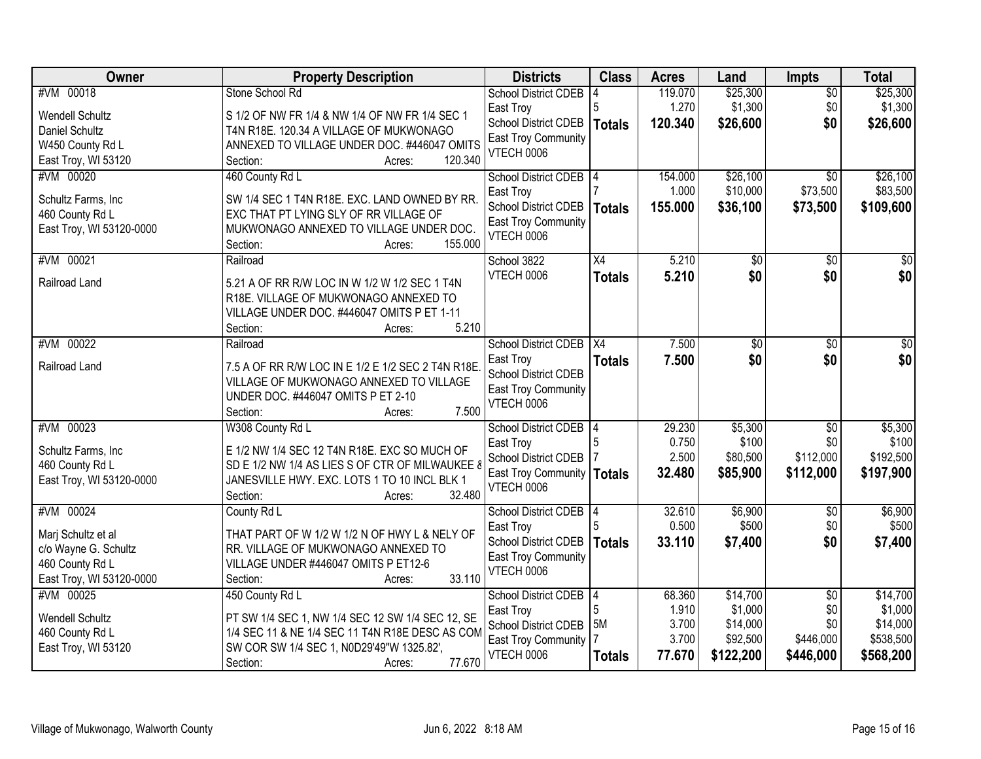| Owner                                                                                                  | <b>Property Description</b>                                                                                                                                                                         | <b>Districts</b>                                                                                                           | <b>Class</b>                   | <b>Acres</b>                                | Land                                                     | <b>Impts</b>                                            | <b>Total</b>                                              |
|--------------------------------------------------------------------------------------------------------|-----------------------------------------------------------------------------------------------------------------------------------------------------------------------------------------------------|----------------------------------------------------------------------------------------------------------------------------|--------------------------------|---------------------------------------------|----------------------------------------------------------|---------------------------------------------------------|-----------------------------------------------------------|
| #VM 00018<br><b>Wendell Schultz</b><br>Daniel Schultz                                                  | Stone School Rd<br>S 1/2 OF NW FR 1/4 & NW 1/4 OF NW FR 1/4 SEC 1<br>T4N R18E. 120.34 A VILLAGE OF MUKWONAGO                                                                                        | <b>School District CDEB</b><br>East Troy<br>School District CDEB<br>East Troy Community                                    | 5<br>Totals                    | 119.070<br>1.270<br>120.340                 | \$25,300<br>\$1,300<br>\$26,600                          | $\overline{30}$<br>\$0<br>\$0                           | \$25,300<br>\$1,300<br>\$26,600                           |
| W450 County Rd L<br>East Troy, WI 53120                                                                | ANNEXED TO VILLAGE UNDER DOC. #446047 OMITS<br>120.340<br>Section:<br>Acres:                                                                                                                        | <b>VTECH 0006</b>                                                                                                          |                                |                                             |                                                          |                                                         |                                                           |
| #VM 00020<br>Schultz Farms, Inc<br>460 County Rd L<br>East Troy, WI 53120-0000                         | 460 County Rd L<br>SW 1/4 SEC 1 T4N R18E. EXC. LAND OWNED BY RR.<br>EXC THAT PT LYING SLY OF RR VILLAGE OF<br>MUKWONAGO ANNEXED TO VILLAGE UNDER DOC.<br>155.000<br>Section:<br>Acres:              | <b>School District CDEB</b><br>East Troy<br><b>School District CDEB</b><br><b>East Troy Community</b><br>VTECH 0006        | <b>Totals</b>                  | 154.000<br>1.000<br>155.000                 | \$26,100<br>\$10,000<br>\$36,100                         | $\overline{30}$<br>\$73,500<br>\$73,500                 | \$26,100<br>\$83,500<br>\$109,600                         |
| #VM 00021<br>Railroad Land                                                                             | Railroad<br>5.21 A OF RR R/W LOC IN W 1/2 W 1/2 SEC 1 T4N<br>R18E. VILLAGE OF MUKWONAGO ANNEXED TO<br>VILLAGE UNDER DOC. #446047 OMITS P ET 1-11<br>5.210<br>Section:<br>Acres:                     | School 3822<br><b>VTECH 0006</b>                                                                                           | X4<br><b>Totals</b>            | 5.210<br>5.210                              | \$0<br>\$0                                               | \$0<br>\$0                                              | $\overline{50}$<br>\$0                                    |
| #VM 00022<br>Railroad Land                                                                             | Railroad<br>7.5 A OF RR R/W LOC IN E 1/2 E 1/2 SEC 2 T4N R18E<br>VILLAGE OF MUKWONAGO ANNEXED TO VILLAGE<br>UNDER DOC. #446047 OMITS P ET 2-10<br>7.500<br>Section:<br>Acres:                       | <b>School District CDEB</b><br>East Troy<br><b>School District CDEB</b><br>East Troy Community<br><b>VTECH 0006</b>        | X4<br><b>Totals</b>            | 7.500<br>7.500                              | \$0<br>\$0                                               | \$0<br>\$0                                              | \$0<br>\$0                                                |
| #VM 00023<br>Schultz Farms, Inc<br>460 County Rd L<br>East Troy, WI 53120-0000                         | W308 County Rd L<br>E 1/2 NW 1/4 SEC 12 T4N R18E. EXC SO MUCH OF<br>SD E 1/2 NW 1/4 AS LIES S OF CTR OF MILWAUKEE 8<br>JANESVILLE HWY. EXC. LOTS 1 TO 10 INCL BLK 1<br>32.480<br>Section:<br>Acres: | School District CDEB<br>East Troy<br>School District CDEB<br>East Troy Community<br>VTECH 0006                             | 5<br>Totals                    | 29.230<br>0.750<br>2.500<br>32.480          | \$5,300<br>\$100<br>\$80,500<br>\$85,900                 | $\overline{50}$<br>\$0<br>\$112,000<br>\$112,000        | \$5,300<br>\$100<br>\$192,500<br>\$197,900                |
| #VM 00024<br>Marj Schultz et al<br>c/o Wayne G. Schultz<br>460 County Rd L<br>East Troy, WI 53120-0000 | County Rd L<br>THAT PART OF W 1/2 W 1/2 N OF HWY L & NELY OF<br>RR. VILLAGE OF MUKWONAGO ANNEXED TO<br>VILLAGE UNDER #446047 OMITS P ET12-6<br>33.110<br>Section:<br>Acres:                         | <b>School District CDEB</b><br>East Troy<br>School District CDEB<br>East Troy Community<br><b>VTECH 0006</b>               | 14<br><b>Totals</b>            | 32.610<br>0.500<br>33.110                   | \$6,900<br>\$500<br>\$7,400                              | $\sqrt{6}$<br>\$0<br>\$0                                | \$6,900<br>\$500<br>\$7,400                               |
| #VM 00025<br>Wendell Schultz<br>460 County Rd L<br>East Troy, WI 53120                                 | 450 County Rd L<br>PT SW 1/4 SEC 1, NW 1/4 SEC 12 SW 1/4 SEC 12, SE<br>1/4 SEC 11 & NE 1/4 SEC 11 T4N R18E DESC AS COM<br>SW COR SW 1/4 SEC 1, N0D29'49"W 1325.82',<br>77.670<br>Section:<br>Acres: | <b>School District CDEB</b><br>East Troy<br><b>School District CDEB</b><br><b>East Troy Community</b><br><b>VTECH 0006</b> | 14<br>5<br>5M<br><b>Totals</b> | 68.360<br>1.910<br>3.700<br>3.700<br>77.670 | \$14,700<br>\$1,000<br>\$14,000<br>\$92,500<br>\$122,200 | $\overline{50}$<br>\$0<br>\$0<br>\$446,000<br>\$446,000 | \$14,700<br>\$1,000<br>\$14,000<br>\$538,500<br>\$568,200 |